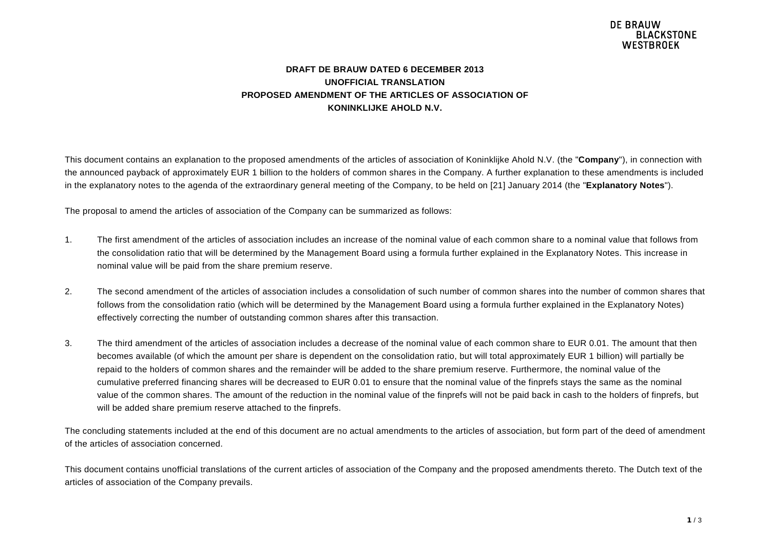#### **DRAFT DE BRAUW DATED 6 DECEMBER 2013 UNOFFICIAL TRANSLATION PROPOSED AMENDMENT OF THE ARTICLES OF ASSOCIATION OF KONINKLIJKE AHOLD N.V.**

This document contains an explanation to the proposed amendments of the articles of association of Koninklijke Ahold N.V. (the "**Company**"), in connection with the announced payback of approximately EUR 1 billion to the holders of common shares in the Company. A further explanation to these amendments is included in the explanatory notes to the agenda of the extraordinary general meeting of the Company, to be held on [21] January 2014 (the "**Explanatory Notes**").

The proposal to amend the articles of association of the Company can be summarized as follows:

- 1. The first amendment of the articles of association includes an increase of the nominal value of each common share to a nominal value that follows from the consolidation ratio that will be determined by the Management Board using a formula further explained in the Explanatory Notes. This increase in nominal value will be paid from the share premium reserve.
- 2. The second amendment of the articles of association includes a consolidation of such number of common shares into the number of common shares that follows from the consolidation ratio (which will be determined by the Management Board using a formula further explained in the Explanatory Notes) effectively correcting the number of outstanding common shares after this transaction.
- 3. The third amendment of the articles of association includes a decrease of the nominal value of each common share to EUR 0.01. The amount that then becomes available (of which the amount per share is dependent on the consolidation ratio, but will total approximately EUR 1 billion) will partially be repaid to the holders of common shares and the remainder will be added to the share premium reserve. Furthermore, the nominal value of the cumulative preferred financing shares will be decreased to EUR 0.01 to ensure that the nominal value of the finprefs stays the same as the nominal value of the common shares. The amount of the reduction in the nominal value of the finprefs will not be paid back in cash to the holders of finprefs, but will be added share premium reserve attached to the finprefs.

The concluding statements included at the end of this document are no actual amendments to the articles of association, but form part of the deed of amendment of the articles of association concerned.

This document contains unofficial translations of the current articles of association of the Company and the proposed amendments thereto. The Dutch text of the articles of association of the Company prevails.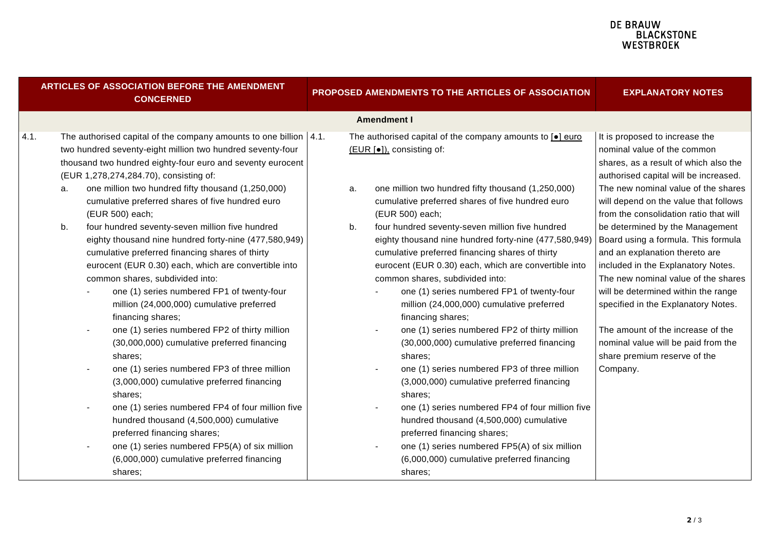|      | ARTICLES OF ASSOCIATION BEFORE THE AMENDMENT<br><b>CONCERNED</b>                                                                                                                                                                                                                                                                                                                                                                                                                             | PROPOSED AMENDMENTS TO THE ARTICLES OF ASSOCIATION                                                                                                                                                                                                                                                                                                                                                                                                                                           | <b>EXPLANATORY NOTES</b>                                                                                                                                                                                                                                                  |
|------|----------------------------------------------------------------------------------------------------------------------------------------------------------------------------------------------------------------------------------------------------------------------------------------------------------------------------------------------------------------------------------------------------------------------------------------------------------------------------------------------|----------------------------------------------------------------------------------------------------------------------------------------------------------------------------------------------------------------------------------------------------------------------------------------------------------------------------------------------------------------------------------------------------------------------------------------------------------------------------------------------|---------------------------------------------------------------------------------------------------------------------------------------------------------------------------------------------------------------------------------------------------------------------------|
|      |                                                                                                                                                                                                                                                                                                                                                                                                                                                                                              | <b>Amendment I</b>                                                                                                                                                                                                                                                                                                                                                                                                                                                                           |                                                                                                                                                                                                                                                                           |
| 4.1. | The authorised capital of the company amounts to one billion $ 4.1$ .<br>two hundred seventy-eight million two hundred seventy-four<br>thousand two hundred eighty-four euro and seventy eurocent<br>(EUR 1,278,274,284.70), consisting of:<br>one million two hundred fifty thousand (1,250,000)<br>a.<br>cumulative preferred shares of five hundred euro<br>(EUR 500) each;                                                                                                               | The authorised capital of the company amounts to [.] euro<br>(EUR [●]), consisting of:<br>one million two hundred fifty thousand (1,250,000)<br>a.<br>cumulative preferred shares of five hundred euro<br>(EUR 500) each;                                                                                                                                                                                                                                                                    | It is proposed to increase the<br>nominal value of the common<br>shares, as a result of which also the<br>authorised capital will be increased.<br>The new nominal value of the shares<br>will depend on the value that follows<br>from the consolidation ratio that will |
|      | four hundred seventy-seven million five hundred<br>b.<br>eighty thousand nine hundred forty-nine (477,580,949)<br>cumulative preferred financing shares of thirty<br>eurocent (EUR 0.30) each, which are convertible into<br>common shares, subdivided into:<br>one (1) series numbered FP1 of twenty-four<br>million (24,000,000) cumulative preferred<br>financing shares;                                                                                                                 | four hundred seventy-seven million five hundred<br>b.<br>eighty thousand nine hundred forty-nine (477,580,949)<br>cumulative preferred financing shares of thirty<br>eurocent (EUR 0.30) each, which are convertible into<br>common shares, subdivided into:<br>one (1) series numbered FP1 of twenty-four<br>million (24,000,000) cumulative preferred<br>financing shares;                                                                                                                 | be determined by the Management<br>Board using a formula. This formula<br>and an explanation thereto are<br>included in the Explanatory Notes.<br>The new nominal value of the shares<br>will be determined within the range<br>specified in the Explanatory Notes.       |
|      | one (1) series numbered FP2 of thirty million<br>(30,000,000) cumulative preferred financing<br>shares:<br>one (1) series numbered FP3 of three million<br>$\blacksquare$<br>(3,000,000) cumulative preferred financing<br>shares;<br>one (1) series numbered FP4 of four million five<br>$\blacksquare$<br>hundred thousand (4,500,000) cumulative<br>preferred financing shares;<br>one (1) series numbered FP5(A) of six million<br>(6,000,000) cumulative preferred financing<br>shares; | one (1) series numbered FP2 of thirty million<br>(30,000,000) cumulative preferred financing<br>shares;<br>one (1) series numbered FP3 of three million<br>$\blacksquare$<br>(3,000,000) cumulative preferred financing<br>shares;<br>one (1) series numbered FP4 of four million five<br>$\blacksquare$<br>hundred thousand (4,500,000) cumulative<br>preferred financing shares;<br>one (1) series numbered FP5(A) of six million<br>(6,000,000) cumulative preferred financing<br>shares: | The amount of the increase of the<br>nominal value will be paid from the<br>share premium reserve of the<br>Company.                                                                                                                                                      |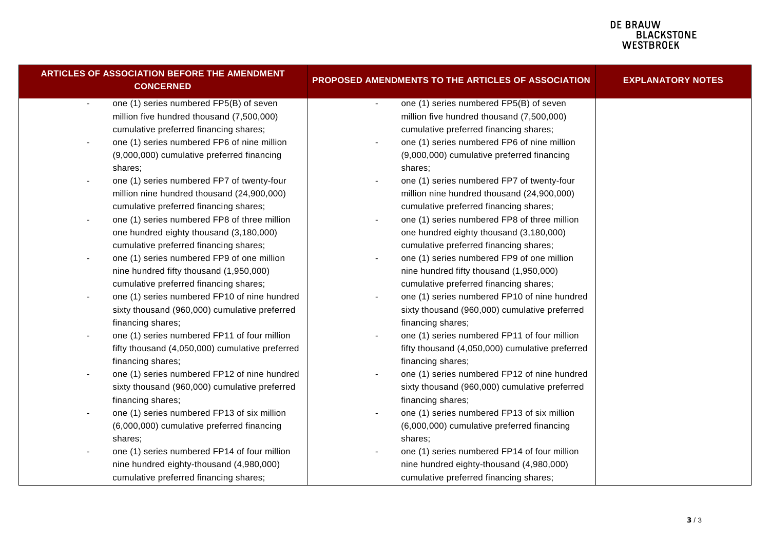| <b>ARTICLES OF ASSOCIATION BEFORE THE AMENDMENT</b><br><b>CONCERNED</b>  | PROPOSED AMENDMENTS TO THE ARTICLES OF ASSOCIATION             | <b>EXPLANATORY NOTES</b> |
|--------------------------------------------------------------------------|----------------------------------------------------------------|--------------------------|
| one (1) series numbered FP5(B) of seven<br>$\blacksquare$                | one (1) series numbered FP5(B) of seven<br>$\sim$              |                          |
| million five hundred thousand (7,500,000)                                | million five hundred thousand (7,500,000)                      |                          |
| cumulative preferred financing shares;                                   | cumulative preferred financing shares;                         |                          |
| one (1) series numbered FP6 of nine million<br>$\overline{\phantom{a}}$  | one (1) series numbered FP6 of nine million<br>$\blacksquare$  |                          |
| (9,000,000) cumulative preferred financing                               | (9,000,000) cumulative preferred financing                     |                          |
| shares;                                                                  | shares;                                                        |                          |
| one (1) series numbered FP7 of twenty-four<br>$\blacksquare$             | one (1) series numbered FP7 of twenty-four                     |                          |
| million nine hundred thousand (24,900,000)                               | million nine hundred thousand (24,900,000)                     |                          |
| cumulative preferred financing shares;                                   | cumulative preferred financing shares;                         |                          |
| one (1) series numbered FP8 of three million<br>$\blacksquare$           | one (1) series numbered FP8 of three million<br>$\blacksquare$ |                          |
| one hundred eighty thousand (3,180,000)                                  | one hundred eighty thousand (3,180,000)                        |                          |
| cumulative preferred financing shares;                                   | cumulative preferred financing shares;                         |                          |
| one (1) series numbered FP9 of one million<br>$\overline{\phantom{a}}$   | one (1) series numbered FP9 of one million                     |                          |
| nine hundred fifty thousand (1,950,000)                                  | nine hundred fifty thousand (1,950,000)                        |                          |
| cumulative preferred financing shares;                                   | cumulative preferred financing shares;                         |                          |
| one (1) series numbered FP10 of nine hundred<br>$\overline{\phantom{a}}$ | one (1) series numbered FP10 of nine hundred<br>$\blacksquare$ |                          |
| sixty thousand (960,000) cumulative preferred                            | sixty thousand (960,000) cumulative preferred                  |                          |
| financing shares;                                                        | financing shares;                                              |                          |
| one (1) series numbered FP11 of four million<br>$\blacksquare$           | one (1) series numbered FP11 of four million<br>$\blacksquare$ |                          |
| fifty thousand (4,050,000) cumulative preferred                          | fifty thousand (4,050,000) cumulative preferred                |                          |
| financing shares;                                                        | financing shares;                                              |                          |
| one (1) series numbered FP12 of nine hundred<br>$\blacksquare$           | one (1) series numbered FP12 of nine hundred<br>$\blacksquare$ |                          |
| sixty thousand (960,000) cumulative preferred                            | sixty thousand (960,000) cumulative preferred                  |                          |
| financing shares;                                                        | financing shares;                                              |                          |
| one (1) series numbered FP13 of six million                              | one (1) series numbered FP13 of six million                    |                          |
| (6,000,000) cumulative preferred financing                               | (6,000,000) cumulative preferred financing                     |                          |
| shares;                                                                  | shares;                                                        |                          |
| one (1) series numbered FP14 of four million                             | one (1) series numbered FP14 of four million                   |                          |
| nine hundred eighty-thousand (4,980,000)                                 | nine hundred eighty-thousand (4,980,000)                       |                          |
| cumulative preferred financing shares;                                   | cumulative preferred financing shares;                         |                          |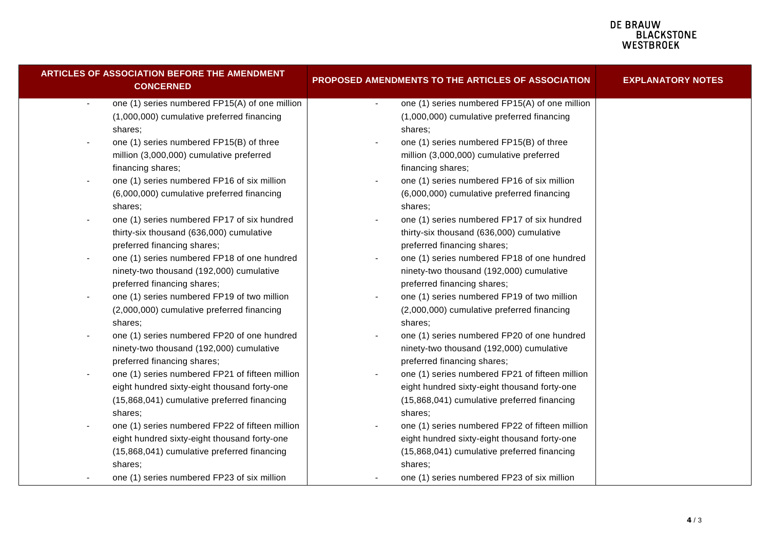| <b>ARTICLES OF ASSOCIATION BEFORE THE AMENDMENT</b><br><b>CONCERNED</b> | <b>PROPOSED AMENDMENTS TO THE ARTICLES OF ASSOCIATION</b>        | <b>EXPLANATORY NOTES</b> |
|-------------------------------------------------------------------------|------------------------------------------------------------------|--------------------------|
| one (1) series numbered FP15(A) of one million<br>$\blacksquare$        | one (1) series numbered FP15(A) of one million<br>$\blacksquare$ |                          |
| (1,000,000) cumulative preferred financing                              | (1,000,000) cumulative preferred financing                       |                          |
| shares;                                                                 | shares;                                                          |                          |
| one (1) series numbered FP15(B) of three                                | one (1) series numbered FP15(B) of three                         |                          |
| million (3,000,000) cumulative preferred                                | million (3,000,000) cumulative preferred                         |                          |
| financing shares;                                                       | financing shares;                                                |                          |
| one (1) series numbered FP16 of six million<br>$\overline{\phantom{a}}$ | one (1) series numbered FP16 of six million                      |                          |
| (6,000,000) cumulative preferred financing                              | (6,000,000) cumulative preferred financing                       |                          |
| shares;                                                                 | shares;                                                          |                          |
| one (1) series numbered FP17 of six hundred                             | one (1) series numbered FP17 of six hundred                      |                          |
| thirty-six thousand (636,000) cumulative                                | thirty-six thousand (636,000) cumulative                         |                          |
| preferred financing shares;                                             | preferred financing shares;                                      |                          |
| one (1) series numbered FP18 of one hundred<br>$\overline{\phantom{a}}$ | one (1) series numbered FP18 of one hundred                      |                          |
| ninety-two thousand (192,000) cumulative                                | ninety-two thousand (192,000) cumulative                         |                          |
| preferred financing shares;                                             | preferred financing shares;                                      |                          |
| one (1) series numbered FP19 of two million<br>$\overline{\phantom{a}}$ | one (1) series numbered FP19 of two million                      |                          |
| (2,000,000) cumulative preferred financing                              | (2,000,000) cumulative preferred financing                       |                          |
| shares;                                                                 | shares;                                                          |                          |
| one (1) series numbered FP20 of one hundred                             | one (1) series numbered FP20 of one hundred                      |                          |
| ninety-two thousand (192,000) cumulative                                | ninety-two thousand (192,000) cumulative                         |                          |
| preferred financing shares;                                             | preferred financing shares;                                      |                          |
| one (1) series numbered FP21 of fifteen million                         | one (1) series numbered FP21 of fifteen million                  |                          |
| eight hundred sixty-eight thousand forty-one                            | eight hundred sixty-eight thousand forty-one                     |                          |
| (15,868,041) cumulative preferred financing                             | (15,868,041) cumulative preferred financing                      |                          |
| shares:                                                                 | shares:                                                          |                          |
| one (1) series numbered FP22 of fifteen million                         | one (1) series numbered FP22 of fifteen million                  |                          |
| eight hundred sixty-eight thousand forty-one                            | eight hundred sixty-eight thousand forty-one                     |                          |
| (15,868,041) cumulative preferred financing                             | (15,868,041) cumulative preferred financing                      |                          |
| shares;                                                                 | shares;                                                          |                          |
| one (1) series numbered FP23 of six million                             | one (1) series numbered FP23 of six million                      |                          |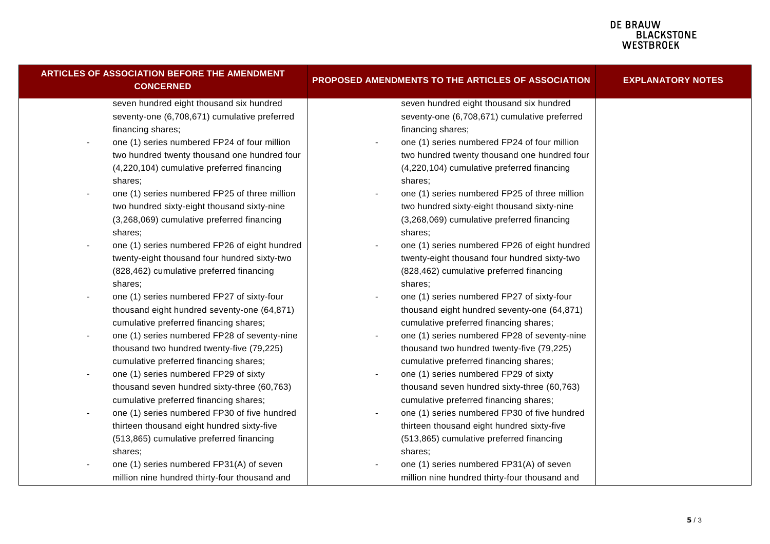| ARTICLES OF ASSOCIATION BEFORE THE AMENDMENT<br><b>CONCERNED</b>          | PROPOSED AMENDMENTS TO THE ARTICLES OF ASSOCIATION | <b>EXPLANATORY NOTES</b> |
|---------------------------------------------------------------------------|----------------------------------------------------|--------------------------|
| seven hundred eight thousand six hundred                                  | seven hundred eight thousand six hundred           |                          |
| seventy-one (6,708,671) cumulative preferred                              | seventy-one (6,708,671) cumulative preferred       |                          |
| financing shares;                                                         | financing shares;                                  |                          |
| one (1) series numbered FP24 of four million                              | one (1) series numbered FP24 of four million       |                          |
| two hundred twenty thousand one hundred four                              | two hundred twenty thousand one hundred four       |                          |
| (4,220,104) cumulative preferred financing                                | (4,220,104) cumulative preferred financing         |                          |
| shares;                                                                   | shares;                                            |                          |
| one (1) series numbered FP25 of three million<br>$\blacksquare$           | one (1) series numbered FP25 of three million      |                          |
| two hundred sixty-eight thousand sixty-nine                               | two hundred sixty-eight thousand sixty-nine        |                          |
| (3,268,069) cumulative preferred financing                                | (3,268,069) cumulative preferred financing         |                          |
| shares;                                                                   | shares:                                            |                          |
| one (1) series numbered FP26 of eight hundred<br>$\overline{\phantom{a}}$ | one (1) series numbered FP26 of eight hundred      |                          |
| twenty-eight thousand four hundred sixty-two                              | twenty-eight thousand four hundred sixty-two       |                          |
| (828,462) cumulative preferred financing                                  | (828,462) cumulative preferred financing           |                          |
| shares:                                                                   | shares:                                            |                          |
| one (1) series numbered FP27 of sixty-four                                | one (1) series numbered FP27 of sixty-four         |                          |
| thousand eight hundred seventy-one (64,871)                               | thousand eight hundred seventy-one (64,871)        |                          |
| cumulative preferred financing shares;                                    | cumulative preferred financing shares;             |                          |
| one (1) series numbered FP28 of seventy-nine                              | one (1) series numbered FP28 of seventy-nine       |                          |
| thousand two hundred twenty-five (79,225)                                 | thousand two hundred twenty-five (79,225)          |                          |
| cumulative preferred financing shares;                                    | cumulative preferred financing shares;             |                          |
| one (1) series numbered FP29 of sixty<br>$\overline{\phantom{a}}$         | one (1) series numbered FP29 of sixty              |                          |
| thousand seven hundred sixty-three (60,763)                               | thousand seven hundred sixty-three (60,763)        |                          |
| cumulative preferred financing shares;                                    | cumulative preferred financing shares;             |                          |
| one (1) series numbered FP30 of five hundred<br>$\overline{\phantom{a}}$  | one (1) series numbered FP30 of five hundred       |                          |
| thirteen thousand eight hundred sixty-five                                | thirteen thousand eight hundred sixty-five         |                          |
| (513,865) cumulative preferred financing                                  | (513,865) cumulative preferred financing           |                          |
| shares;                                                                   | shares;                                            |                          |
| one (1) series numbered FP31(A) of seven                                  | one (1) series numbered FP31(A) of seven           |                          |
| million nine hundred thirty-four thousand and                             | million nine hundred thirty-four thousand and      |                          |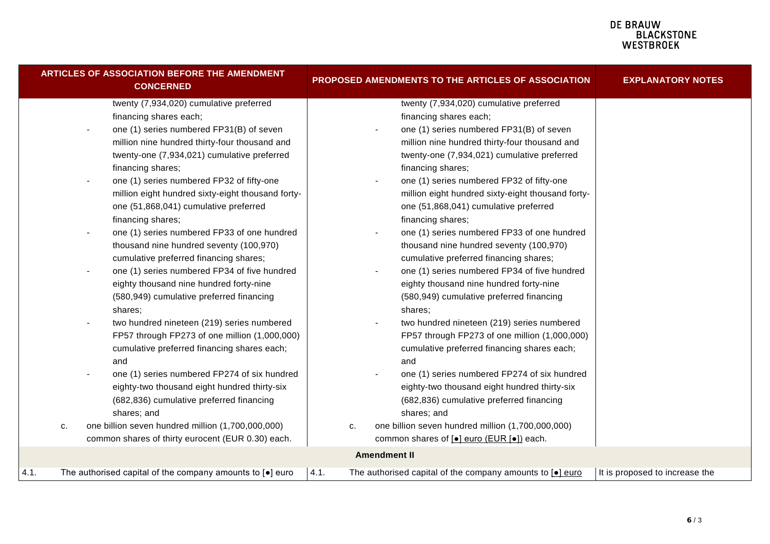|      | <b>ARTICLES OF ASSOCIATION BEFORE THE AMENDMENT</b><br><b>CONCERNED</b>                                                                                                                                                                                                                                                                                                                                                                                                                                                                                                                                                                                                                                                                                                                                                                                                                                                                                                                                                                                                                                                  | PROPOSED AMENDMENTS TO THE ARTICLES OF ASSOCIATION                                                                                                                                                                                                                                                                                                                                                                                                                                                                                                                                                                                                                                                                                                                                                                                                                                                                                                                                                                                                                                                               | <b>EXPLANATORY NOTES</b>       |
|------|--------------------------------------------------------------------------------------------------------------------------------------------------------------------------------------------------------------------------------------------------------------------------------------------------------------------------------------------------------------------------------------------------------------------------------------------------------------------------------------------------------------------------------------------------------------------------------------------------------------------------------------------------------------------------------------------------------------------------------------------------------------------------------------------------------------------------------------------------------------------------------------------------------------------------------------------------------------------------------------------------------------------------------------------------------------------------------------------------------------------------|------------------------------------------------------------------------------------------------------------------------------------------------------------------------------------------------------------------------------------------------------------------------------------------------------------------------------------------------------------------------------------------------------------------------------------------------------------------------------------------------------------------------------------------------------------------------------------------------------------------------------------------------------------------------------------------------------------------------------------------------------------------------------------------------------------------------------------------------------------------------------------------------------------------------------------------------------------------------------------------------------------------------------------------------------------------------------------------------------------------|--------------------------------|
|      | twenty (7,934,020) cumulative preferred<br>financing shares each;<br>one (1) series numbered FP31(B) of seven<br>million nine hundred thirty-four thousand and<br>twenty-one (7,934,021) cumulative preferred<br>financing shares;<br>one (1) series numbered FP32 of fifty-one<br>million eight hundred sixty-eight thousand forty-<br>one (51,868,041) cumulative preferred<br>financing shares;<br>one (1) series numbered FP33 of one hundred<br>thousand nine hundred seventy (100,970)<br>cumulative preferred financing shares;<br>one (1) series numbered FP34 of five hundred<br>eighty thousand nine hundred forty-nine<br>(580,949) cumulative preferred financing<br>shares:<br>two hundred nineteen (219) series numbered<br>FP57 through FP273 of one million (1,000,000)<br>cumulative preferred financing shares each;<br>and<br>one (1) series numbered FP274 of six hundred<br>eighty-two thousand eight hundred thirty-six<br>(682,836) cumulative preferred financing<br>shares; and<br>one billion seven hundred million (1,700,000,000)<br>c.<br>common shares of thirty eurocent (EUR 0.30) each. | twenty (7,934,020) cumulative preferred<br>financing shares each;<br>one (1) series numbered FP31(B) of seven<br>million nine hundred thirty-four thousand and<br>twenty-one (7,934,021) cumulative preferred<br>financing shares;<br>one (1) series numbered FP32 of fifty-one<br>million eight hundred sixty-eight thousand forty-<br>one (51,868,041) cumulative preferred<br>financing shares;<br>one (1) series numbered FP33 of one hundred<br>thousand nine hundred seventy (100,970)<br>cumulative preferred financing shares;<br>one (1) series numbered FP34 of five hundred<br>eighty thousand nine hundred forty-nine<br>(580,949) cumulative preferred financing<br>shares:<br>two hundred nineteen (219) series numbered<br>FP57 through FP273 of one million (1,000,000)<br>cumulative preferred financing shares each;<br>and<br>one (1) series numbered FP274 of six hundred<br>eighty-two thousand eight hundred thirty-six<br>(682,836) cumulative preferred financing<br>shares; and<br>one billion seven hundred million (1,700,000,000)<br>c.<br>common shares of [•] euro (EUR [•]) each. |                                |
|      |                                                                                                                                                                                                                                                                                                                                                                                                                                                                                                                                                                                                                                                                                                                                                                                                                                                                                                                                                                                                                                                                                                                          | <b>Amendment II</b>                                                                                                                                                                                                                                                                                                                                                                                                                                                                                                                                                                                                                                                                                                                                                                                                                                                                                                                                                                                                                                                                                              |                                |
| 4.1. | The authorised capital of the company amounts to $\lceil \bullet \rceil$ euro                                                                                                                                                                                                                                                                                                                                                                                                                                                                                                                                                                                                                                                                                                                                                                                                                                                                                                                                                                                                                                            | 4.1.<br>The authorised capital of the company amounts to [.] euro                                                                                                                                                                                                                                                                                                                                                                                                                                                                                                                                                                                                                                                                                                                                                                                                                                                                                                                                                                                                                                                | It is proposed to increase the |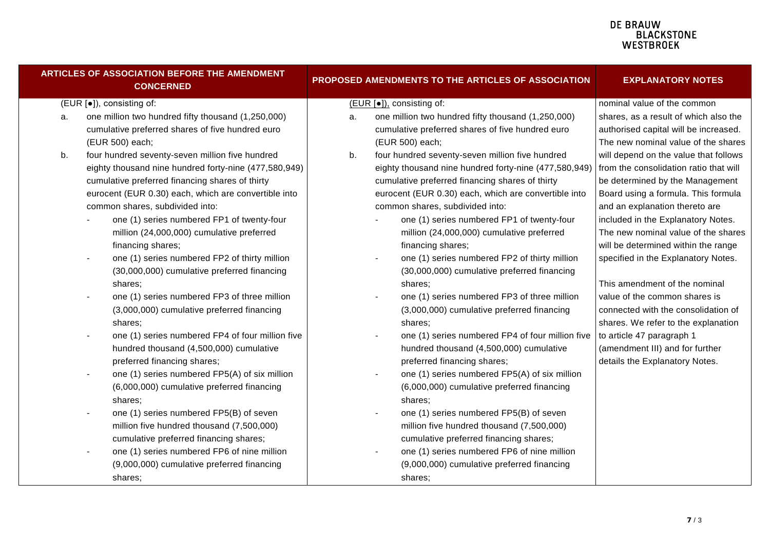|                           | ARTICLES OF ASSOCIATION BEFORE THE AMENDMENT<br><b>CONCERNED</b> | PROPOSED AMENDMENTS TO THE ARTICLES OF ASSOCIATION |                                                                           | <b>EXPLANATORY NOTES</b>               |
|---------------------------|------------------------------------------------------------------|----------------------------------------------------|---------------------------------------------------------------------------|----------------------------------------|
| (EUR [•]), consisting of: |                                                                  |                                                    | (EUR [●]), consisting of:                                                 | nominal value of the common            |
| a.                        | one million two hundred fifty thousand (1,250,000)               | a.                                                 | one million two hundred fifty thousand (1,250,000)                        | shares, as a result of which also the  |
|                           | cumulative preferred shares of five hundred euro                 |                                                    | cumulative preferred shares of five hundred euro                          | authorised capital will be increased.  |
|                           | (EUR 500) each;                                                  |                                                    | (EUR 500) each;                                                           | The new nominal value of the shares    |
| b.                        | four hundred seventy-seven million five hundred                  | b.                                                 | four hundred seventy-seven million five hundred                           | will depend on the value that follows  |
|                           | eighty thousand nine hundred forty-nine (477,580,949)            |                                                    | eighty thousand nine hundred forty-nine (477,580,949)                     | from the consolidation ratio that will |
|                           | cumulative preferred financing shares of thirty                  |                                                    | cumulative preferred financing shares of thirty                           | be determined by the Management        |
|                           | eurocent (EUR 0.30) each, which are convertible into             |                                                    | eurocent (EUR 0.30) each, which are convertible into                      | Board using a formula. This formula    |
|                           | common shares, subdivided into:                                  |                                                    | common shares, subdivided into:                                           | and an explanation thereto are         |
|                           | one (1) series numbered FP1 of twenty-four                       |                                                    | one (1) series numbered FP1 of twenty-four                                | included in the Explanatory Notes.     |
|                           | million (24,000,000) cumulative preferred                        |                                                    | million (24,000,000) cumulative preferred                                 | The new nominal value of the shares    |
|                           | financing shares;                                                |                                                    | financing shares;                                                         | will be determined within the range    |
|                           | one (1) series numbered FP2 of thirty million                    |                                                    | one (1) series numbered FP2 of thirty million<br>$\overline{\phantom{a}}$ | specified in the Explanatory Notes.    |
|                           | (30,000,000) cumulative preferred financing                      |                                                    | (30,000,000) cumulative preferred financing                               |                                        |
|                           | shares;                                                          |                                                    | shares;                                                                   | This amendment of the nominal          |
|                           | one (1) series numbered FP3 of three million                     |                                                    | one (1) series numbered FP3 of three million                              | value of the common shares is          |
|                           | (3,000,000) cumulative preferred financing                       |                                                    | (3,000,000) cumulative preferred financing                                | connected with the consolidation of    |
|                           | shares;                                                          |                                                    | shares;                                                                   | shares. We refer to the explanation    |
|                           | one (1) series numbered FP4 of four million five                 |                                                    | one (1) series numbered FP4 of four million five                          | to article 47 paragraph 1              |
|                           | hundred thousand (4,500,000) cumulative                          |                                                    | hundred thousand (4,500,000) cumulative                                   | (amendment III) and for further        |
|                           | preferred financing shares;                                      |                                                    | preferred financing shares;                                               | details the Explanatory Notes.         |
|                           | one (1) series numbered FP5(A) of six million                    |                                                    | one (1) series numbered FP5(A) of six million                             |                                        |
|                           | (6,000,000) cumulative preferred financing                       |                                                    | (6,000,000) cumulative preferred financing                                |                                        |
|                           | shares;                                                          |                                                    | shares;                                                                   |                                        |
|                           | one (1) series numbered FP5(B) of seven                          |                                                    | one (1) series numbered FP5(B) of seven                                   |                                        |
|                           | million five hundred thousand (7,500,000)                        |                                                    | million five hundred thousand (7,500,000)                                 |                                        |
|                           | cumulative preferred financing shares;                           |                                                    | cumulative preferred financing shares;                                    |                                        |
|                           | one (1) series numbered FP6 of nine million                      |                                                    | one (1) series numbered FP6 of nine million                               |                                        |
|                           | (9,000,000) cumulative preferred financing                       |                                                    | (9,000,000) cumulative preferred financing                                |                                        |
|                           | shares;                                                          |                                                    | shares:                                                                   |                                        |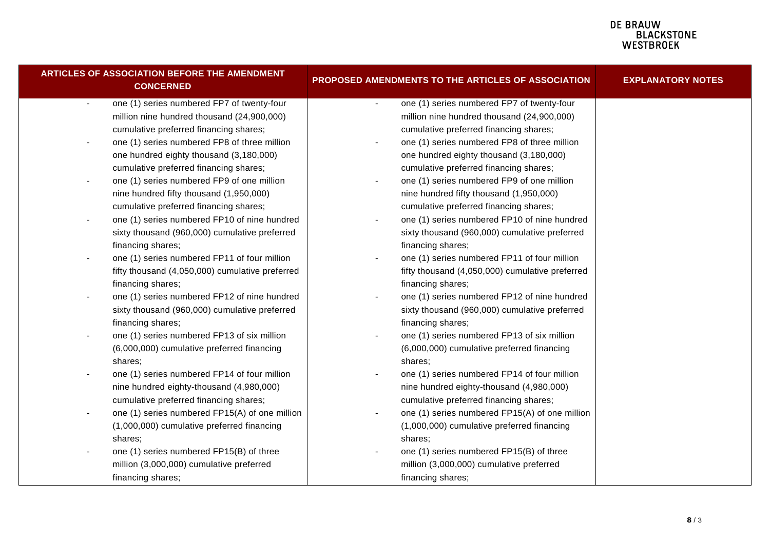| <b>ARTICLES OF ASSOCIATION BEFORE THE AMENDMENT</b><br><b>CONCERNED</b>  | PROPOSED AMENDMENTS TO THE ARTICLES OF ASSOCIATION             | <b>EXPLANATORY NOTES</b> |
|--------------------------------------------------------------------------|----------------------------------------------------------------|--------------------------|
| one (1) series numbered FP7 of twenty-four<br>$\blacksquare$             | one (1) series numbered FP7 of twenty-four<br>$\sim$           |                          |
| million nine hundred thousand (24,900,000)                               | million nine hundred thousand (24,900,000)                     |                          |
| cumulative preferred financing shares;                                   | cumulative preferred financing shares;                         |                          |
| one (1) series numbered FP8 of three million<br>$\overline{\phantom{a}}$ | one (1) series numbered FP8 of three million<br>$\blacksquare$ |                          |
| one hundred eighty thousand (3,180,000)                                  | one hundred eighty thousand (3,180,000)                        |                          |
| cumulative preferred financing shares;                                   | cumulative preferred financing shares;                         |                          |
| one (1) series numbered FP9 of one million<br>$\blacksquare$             | one (1) series numbered FP9 of one million                     |                          |
| nine hundred fifty thousand (1,950,000)                                  | nine hundred fifty thousand (1,950,000)                        |                          |
| cumulative preferred financing shares;                                   | cumulative preferred financing shares;                         |                          |
| one (1) series numbered FP10 of nine hundred<br>$\blacksquare$           | one (1) series numbered FP10 of nine hundred<br>$\blacksquare$ |                          |
| sixty thousand (960,000) cumulative preferred                            | sixty thousand (960,000) cumulative preferred                  |                          |
| financing shares;                                                        | financing shares;                                              |                          |
| one (1) series numbered FP11 of four million<br>$\blacksquare$           | one (1) series numbered FP11 of four million                   |                          |
| fifty thousand (4,050,000) cumulative preferred                          | fifty thousand (4,050,000) cumulative preferred                |                          |
| financing shares;                                                        | financing shares;                                              |                          |
| one (1) series numbered FP12 of nine hundred<br>$\overline{\phantom{a}}$ | one (1) series numbered FP12 of nine hundred<br>$\blacksquare$ |                          |
| sixty thousand (960,000) cumulative preferred                            | sixty thousand (960,000) cumulative preferred                  |                          |
| financing shares;                                                        | financing shares;                                              |                          |
| one (1) series numbered FP13 of six million<br>$\overline{\phantom{a}}$  | one (1) series numbered FP13 of six million                    |                          |
| (6,000,000) cumulative preferred financing                               | (6,000,000) cumulative preferred financing                     |                          |
| shares;                                                                  | shares;                                                        |                          |
| one (1) series numbered FP14 of four million<br>$\overline{\phantom{0}}$ | one (1) series numbered FP14 of four million                   |                          |
| nine hundred eighty-thousand (4,980,000)                                 | nine hundred eighty-thousand (4,980,000)                       |                          |
| cumulative preferred financing shares;                                   | cumulative preferred financing shares;                         |                          |
| one (1) series numbered FP15(A) of one million                           | one (1) series numbered FP15(A) of one million                 |                          |
| (1,000,000) cumulative preferred financing                               | (1,000,000) cumulative preferred financing                     |                          |
| shares;                                                                  | shares:                                                        |                          |
| one (1) series numbered FP15(B) of three                                 | one (1) series numbered FP15(B) of three                       |                          |
| million (3,000,000) cumulative preferred                                 | million (3,000,000) cumulative preferred                       |                          |
| financing shares;                                                        | financing shares;                                              |                          |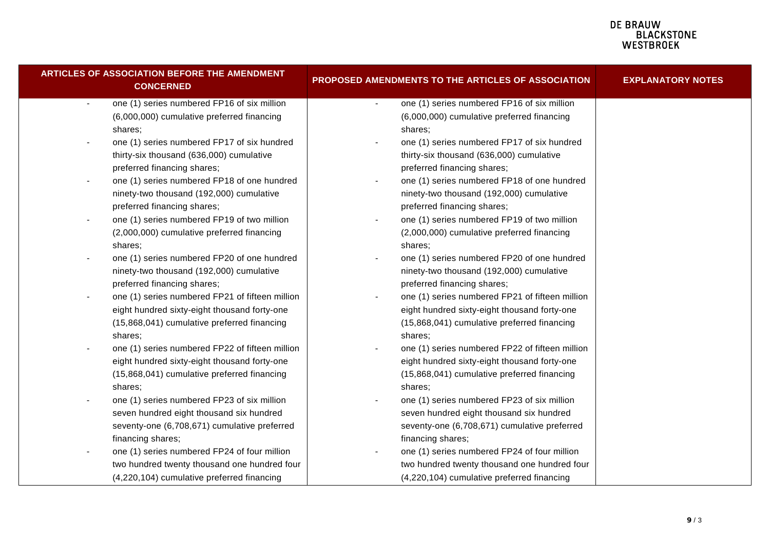| ARTICLES OF ASSOCIATION BEFORE THE AMENDMENT<br><b>CONCERNED</b>        | <b>PROPOSED AMENDMENTS TO THE ARTICLES OF ASSOCIATION</b>                   | <b>EXPLANATORY NOTES</b> |
|-------------------------------------------------------------------------|-----------------------------------------------------------------------------|--------------------------|
| one (1) series numbered FP16 of six million<br>$\blacksquare$           | one (1) series numbered FP16 of six million<br>$\blacksquare$               |                          |
| (6,000,000) cumulative preferred financing                              | (6,000,000) cumulative preferred financing                                  |                          |
| shares;                                                                 | shares;                                                                     |                          |
| one (1) series numbered FP17 of six hundred                             | one (1) series numbered FP17 of six hundred                                 |                          |
| thirty-six thousand (636,000) cumulative                                | thirty-six thousand (636,000) cumulative                                    |                          |
| preferred financing shares;                                             | preferred financing shares;                                                 |                          |
| one (1) series numbered FP18 of one hundred                             | one (1) series numbered FP18 of one hundred                                 |                          |
| ninety-two thousand (192,000) cumulative                                | ninety-two thousand (192,000) cumulative                                    |                          |
| preferred financing shares;                                             | preferred financing shares;                                                 |                          |
| one (1) series numbered FP19 of two million<br>$\overline{\phantom{a}}$ | one (1) series numbered FP19 of two million<br>-                            |                          |
| (2,000,000) cumulative preferred financing                              | (2,000,000) cumulative preferred financing                                  |                          |
| shares;                                                                 | shares;                                                                     |                          |
| one (1) series numbered FP20 of one hundred<br>$\blacksquare$           | one (1) series numbered FP20 of one hundred                                 |                          |
| ninety-two thousand (192,000) cumulative                                | ninety-two thousand (192,000) cumulative                                    |                          |
| preferred financing shares;                                             | preferred financing shares;                                                 |                          |
| one (1) series numbered FP21 of fifteen million<br>$\blacksquare$       | one (1) series numbered FP21 of fifteen million<br>$\overline{\phantom{a}}$ |                          |
| eight hundred sixty-eight thousand forty-one                            | eight hundred sixty-eight thousand forty-one                                |                          |
| (15,868,041) cumulative preferred financing                             | (15,868,041) cumulative preferred financing                                 |                          |
| shares:                                                                 | shares;                                                                     |                          |
| one (1) series numbered FP22 of fifteen million                         | one (1) series numbered FP22 of fifteen million                             |                          |
| eight hundred sixty-eight thousand forty-one                            | eight hundred sixty-eight thousand forty-one                                |                          |
| (15,868,041) cumulative preferred financing                             | (15,868,041) cumulative preferred financing                                 |                          |
| shares:                                                                 | shares;                                                                     |                          |
| one (1) series numbered FP23 of six million                             | one (1) series numbered FP23 of six million                                 |                          |
| seven hundred eight thousand six hundred                                | seven hundred eight thousand six hundred                                    |                          |
| seventy-one (6,708,671) cumulative preferred                            | seventy-one (6,708,671) cumulative preferred                                |                          |
| financing shares;                                                       | financing shares;                                                           |                          |
| one (1) series numbered FP24 of four million                            | one (1) series numbered FP24 of four million                                |                          |
| two hundred twenty thousand one hundred four                            | two hundred twenty thousand one hundred four                                |                          |
| (4,220,104) cumulative preferred financing                              | (4,220,104) cumulative preferred financing                                  |                          |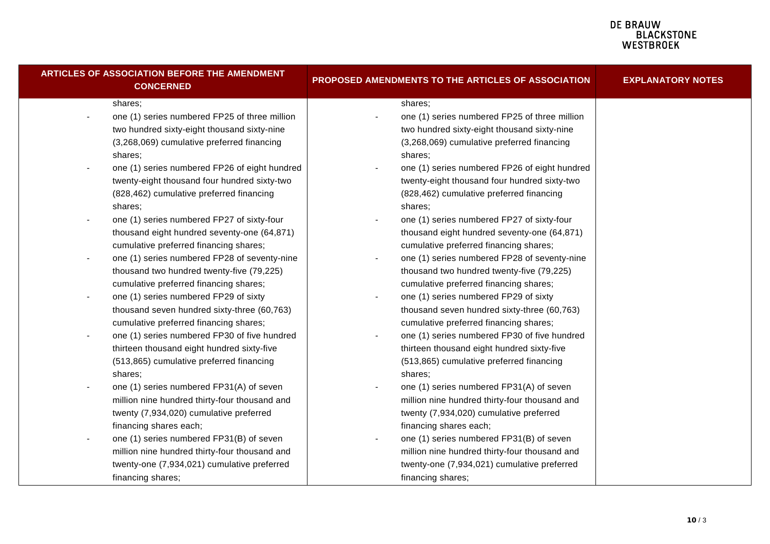| <b>ARTICLES OF ASSOCIATION BEFORE THE AMENDMENT</b><br><b>CONCERNED</b>  | PROPOSED AMENDMENTS TO THE ARTICLES OF ASSOCIATION      | <b>EXPLANATORY NOTES</b> |
|--------------------------------------------------------------------------|---------------------------------------------------------|--------------------------|
| shares;                                                                  | shares;                                                 |                          |
| one (1) series numbered FP25 of three million<br>$\blacksquare$          | one (1) series numbered FP25 of three million           |                          |
| two hundred sixty-eight thousand sixty-nine                              | two hundred sixty-eight thousand sixty-nine             |                          |
| (3,268,069) cumulative preferred financing                               | (3,268,069) cumulative preferred financing              |                          |
| shares;                                                                  | shares;                                                 |                          |
| one (1) series numbered FP26 of eight hundred<br>$\overline{a}$          | one (1) series numbered FP26 of eight hundred           |                          |
| twenty-eight thousand four hundred sixty-two                             | twenty-eight thousand four hundred sixty-two            |                          |
| (828,462) cumulative preferred financing                                 | (828,462) cumulative preferred financing                |                          |
| shares;                                                                  | shares:                                                 |                          |
| one (1) series numbered FP27 of sixty-four<br>$\blacksquare$             | one (1) series numbered FP27 of sixty-four              |                          |
| thousand eight hundred seventy-one (64,871)                              | thousand eight hundred seventy-one (64,871)             |                          |
| cumulative preferred financing shares;                                   | cumulative preferred financing shares;                  |                          |
| one (1) series numbered FP28 of seventy-nine<br>$\overline{\phantom{a}}$ | one (1) series numbered FP28 of seventy-nine            |                          |
| thousand two hundred twenty-five (79,225)                                | thousand two hundred twenty-five (79,225)               |                          |
| cumulative preferred financing shares;                                   | cumulative preferred financing shares;                  |                          |
| one (1) series numbered FP29 of sixty<br>$\overline{\phantom{a}}$        | one (1) series numbered FP29 of sixty<br>$\blacksquare$ |                          |
| thousand seven hundred sixty-three (60,763)                              | thousand seven hundred sixty-three (60,763)             |                          |
| cumulative preferred financing shares;                                   | cumulative preferred financing shares;                  |                          |
| one (1) series numbered FP30 of five hundred<br>$\blacksquare$           | one (1) series numbered FP30 of five hundred            |                          |
| thirteen thousand eight hundred sixty-five                               | thirteen thousand eight hundred sixty-five              |                          |
| (513,865) cumulative preferred financing                                 | (513,865) cumulative preferred financing                |                          |
| shares:                                                                  | shares:                                                 |                          |
| one (1) series numbered FP31(A) of seven<br>$\blacksquare$               | one (1) series numbered FP31(A) of seven                |                          |
| million nine hundred thirty-four thousand and                            | million nine hundred thirty-four thousand and           |                          |
| twenty (7,934,020) cumulative preferred                                  | twenty (7,934,020) cumulative preferred                 |                          |
| financing shares each;                                                   | financing shares each;                                  |                          |
| one (1) series numbered FP31(B) of seven<br>$\overline{\phantom{a}}$     | one (1) series numbered FP31(B) of seven                |                          |
| million nine hundred thirty-four thousand and                            | million nine hundred thirty-four thousand and           |                          |
| twenty-one (7,934,021) cumulative preferred                              | twenty-one (7,934,021) cumulative preferred             |                          |
| financing shares;                                                        | financing shares;                                       |                          |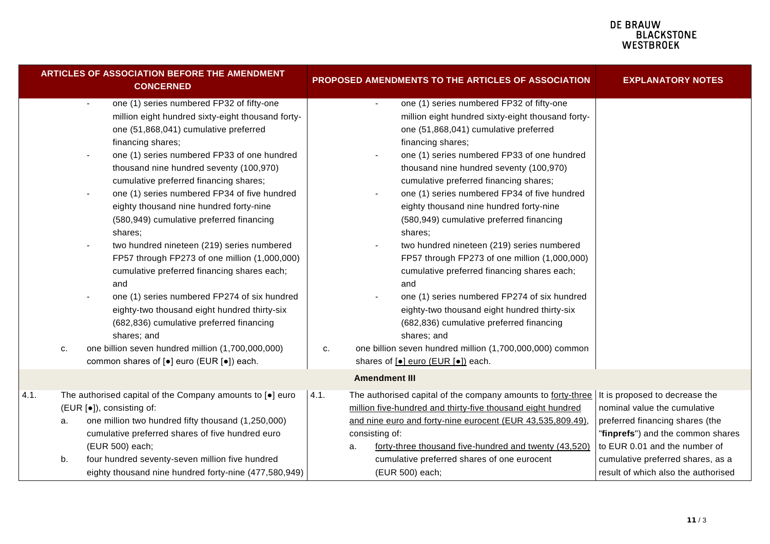|          | <b>CONCERNED</b>                                                                                                                                                                                                                                                                                                                                                                                                                                                                                                                                                                                                                                                                                                                                                                                                                                                                       |                                                                                                                                                                                                        |                                                                                                                                                                                                                                                                                                                                                                                                                                                                                                                                                                                                                                                                                                                                                                                                                                                                                                            | <b>EXPLANATORY NOTES</b>                                                                                                                                                                                                                            |
|----------|----------------------------------------------------------------------------------------------------------------------------------------------------------------------------------------------------------------------------------------------------------------------------------------------------------------------------------------------------------------------------------------------------------------------------------------------------------------------------------------------------------------------------------------------------------------------------------------------------------------------------------------------------------------------------------------------------------------------------------------------------------------------------------------------------------------------------------------------------------------------------------------|--------------------------------------------------------------------------------------------------------------------------------------------------------------------------------------------------------|------------------------------------------------------------------------------------------------------------------------------------------------------------------------------------------------------------------------------------------------------------------------------------------------------------------------------------------------------------------------------------------------------------------------------------------------------------------------------------------------------------------------------------------------------------------------------------------------------------------------------------------------------------------------------------------------------------------------------------------------------------------------------------------------------------------------------------------------------------------------------------------------------------|-----------------------------------------------------------------------------------------------------------------------------------------------------------------------------------------------------------------------------------------------------|
| с.       | one (1) series numbered FP32 of fifty-one<br>$\blacksquare$<br>million eight hundred sixty-eight thousand forty-<br>one (51,868,041) cumulative preferred<br>financing shares;<br>one (1) series numbered FP33 of one hundred<br>thousand nine hundred seventy (100,970)<br>cumulative preferred financing shares;<br>one (1) series numbered FP34 of five hundred<br>eighty thousand nine hundred forty-nine<br>(580,949) cumulative preferred financing<br>shares;<br>two hundred nineteen (219) series numbered<br>FP57 through FP273 of one million (1,000,000)<br>cumulative preferred financing shares each;<br>and<br>one (1) series numbered FP274 of six hundred<br>eighty-two thousand eight hundred thirty-six<br>(682,836) cumulative preferred financing<br>shares; and<br>one billion seven hundred million (1,700,000,000)<br>common shares of [•] euro (EUR [•]) each. | с.                                                                                                                                                                                                     | one (1) series numbered FP32 of fifty-one<br>$\blacksquare$<br>million eight hundred sixty-eight thousand forty-<br>one (51,868,041) cumulative preferred<br>financing shares;<br>one (1) series numbered FP33 of one hundred<br>thousand nine hundred seventy (100,970)<br>cumulative preferred financing shares;<br>one (1) series numbered FP34 of five hundred<br>eighty thousand nine hundred forty-nine<br>(580,949) cumulative preferred financing<br>shares;<br>two hundred nineteen (219) series numbered<br>FP57 through FP273 of one million (1,000,000)<br>cumulative preferred financing shares each;<br>and<br>one (1) series numbered FP274 of six hundred<br>eighty-two thousand eight hundred thirty-six<br>(682,836) cumulative preferred financing<br>shares; and<br>one billion seven hundred million (1,700,000,000) common<br>shares of [ $\bullet$ ] euro (EUR [ $\bullet$ ]) each. |                                                                                                                                                                                                                                                     |
|          |                                                                                                                                                                                                                                                                                                                                                                                                                                                                                                                                                                                                                                                                                                                                                                                                                                                                                        |                                                                                                                                                                                                        | <b>Amendment III</b>                                                                                                                                                                                                                                                                                                                                                                                                                                                                                                                                                                                                                                                                                                                                                                                                                                                                                       |                                                                                                                                                                                                                                                     |
| a.<br>b. | one million two hundred fifty thousand (1,250,000)<br>cumulative preferred shares of five hundred euro<br>(EUR 500) each;<br>four hundred seventy-seven million five hundred                                                                                                                                                                                                                                                                                                                                                                                                                                                                                                                                                                                                                                                                                                           | 4.1.                                                                                                                                                                                                   | The authorised capital of the company amounts to forty-three<br>million five-hundred and thirty-five thousand eight hundred<br>and nine euro and forty-nine eurocent (EUR 43,535,809.49),<br>consisting of:<br>forty-three thousand five-hundred and twenty (43,520)<br>a.<br>cumulative preferred shares of one eurocent                                                                                                                                                                                                                                                                                                                                                                                                                                                                                                                                                                                  | It is proposed to decrease the<br>nominal value the cumulative<br>preferred financing shares (the<br>"finprefs") and the common shares<br>to EUR 0.01 and the number of<br>cumulative preferred shares, as a<br>result of which also the authorised |
|          |                                                                                                                                                                                                                                                                                                                                                                                                                                                                                                                                                                                                                                                                                                                                                                                                                                                                                        | <b>ARTICLES OF ASSOCIATION BEFORE THE AMENDMENT</b><br>The authorised capital of the Company amounts to [.] euro<br>(EUR [.]), consisting of:<br>eighty thousand nine hundred forty-nine (477,580,949) |                                                                                                                                                                                                                                                                                                                                                                                                                                                                                                                                                                                                                                                                                                                                                                                                                                                                                                            | PROPOSED AMENDMENTS TO THE ARTICLES OF ASSOCIATION<br>(EUR 500) each;                                                                                                                                                                               |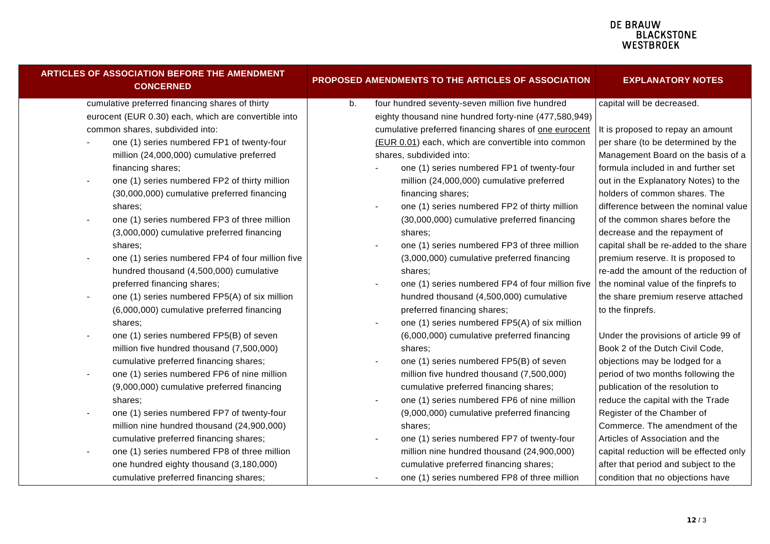| ARTICLES OF ASSOCIATION BEFORE THE AMENDMENT<br><b>CONCERNED</b>         | PROPOSED AMENDMENTS TO THE ARTICLES OF ASSOCIATION    | <b>EXPLANATORY NOTES</b>                |
|--------------------------------------------------------------------------|-------------------------------------------------------|-----------------------------------------|
| cumulative preferred financing shares of thirty                          | four hundred seventy-seven million five hundred<br>b. | capital will be decreased.              |
| eurocent (EUR 0.30) each, which are convertible into                     | eighty thousand nine hundred forty-nine (477,580,949) |                                         |
| common shares, subdivided into:                                          | cumulative preferred financing shares of one eurocent | It is proposed to repay an amount       |
| one (1) series numbered FP1 of twenty-four                               | (EUR 0.01) each, which are convertible into common    | per share (to be determined by the      |
| million (24,000,000) cumulative preferred                                | shares, subdivided into:                              | Management Board on the basis of a      |
| financing shares;                                                        | one (1) series numbered FP1 of twenty-four            | formula included in and further set     |
| one (1) series numbered FP2 of thirty million<br>$\blacksquare$          | million (24,000,000) cumulative preferred             | out in the Explanatory Notes) to the    |
| (30,000,000) cumulative preferred financing                              | financing shares;                                     | holders of common shares. The           |
| shares;                                                                  | one (1) series numbered FP2 of thirty million         | difference between the nominal value    |
| one (1) series numbered FP3 of three million<br>$\overline{\phantom{a}}$ | (30,000,000) cumulative preferred financing           | of the common shares before the         |
| (3,000,000) cumulative preferred financing                               | shares;                                               | decrease and the repayment of           |
| shares;                                                                  | one (1) series numbered FP3 of three million          | capital shall be re-added to the share  |
| one (1) series numbered FP4 of four million five<br>$\blacksquare$       | (3,000,000) cumulative preferred financing            | premium reserve. It is proposed to      |
| hundred thousand (4,500,000) cumulative                                  | shares;                                               | re-add the amount of the reduction of   |
| preferred financing shares;                                              | one (1) series numbered FP4 of four million five      | the nominal value of the finprefs to    |
| one (1) series numbered FP5(A) of six million<br>$\blacksquare$          | hundred thousand (4,500,000) cumulative               | the share premium reserve attached      |
| (6,000,000) cumulative preferred financing                               | preferred financing shares;                           | to the finprefs.                        |
| shares;                                                                  | one (1) series numbered FP5(A) of six million         |                                         |
| one (1) series numbered FP5(B) of seven<br>$\blacksquare$                | (6,000,000) cumulative preferred financing            | Under the provisions of article 99 of   |
| million five hundred thousand (7,500,000)                                | shares:                                               | Book 2 of the Dutch Civil Code,         |
| cumulative preferred financing shares;                                   | one (1) series numbered FP5(B) of seven               | objections may be lodged for a          |
| one (1) series numbered FP6 of nine million<br>$\overline{\phantom{a}}$  | million five hundred thousand (7,500,000)             | period of two months following the      |
| (9,000,000) cumulative preferred financing                               | cumulative preferred financing shares;                | publication of the resolution to        |
| shares:                                                                  | one (1) series numbered FP6 of nine million           | reduce the capital with the Trade       |
| one (1) series numbered FP7 of twenty-four<br>$\overline{\phantom{a}}$   | (9,000,000) cumulative preferred financing            | Register of the Chamber of              |
| million nine hundred thousand (24,900,000)                               | shares;                                               | Commerce. The amendment of the          |
| cumulative preferred financing shares;                                   | one (1) series numbered FP7 of twenty-four            | Articles of Association and the         |
| one (1) series numbered FP8 of three million<br>$\overline{\phantom{a}}$ | million nine hundred thousand (24,900,000)            | capital reduction will be effected only |
| one hundred eighty thousand (3,180,000)                                  | cumulative preferred financing shares;                | after that period and subject to the    |
| cumulative preferred financing shares;                                   | one (1) series numbered FP8 of three million          | condition that no objections have       |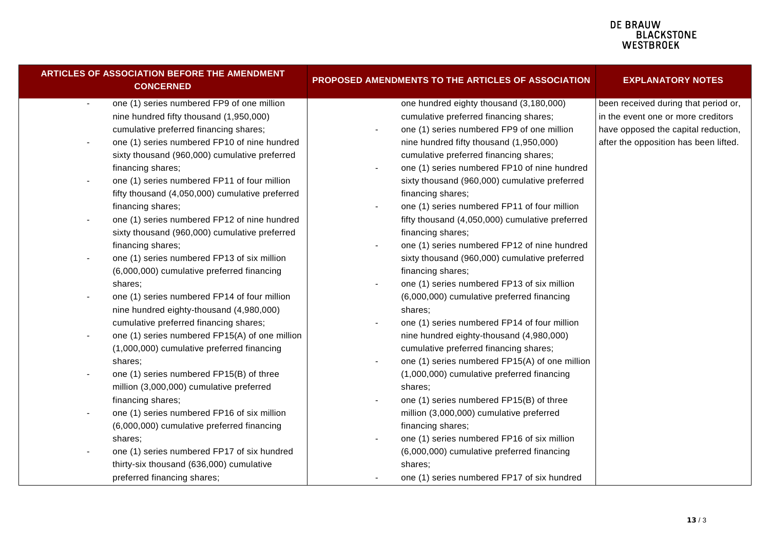| <b>ARTICLES OF ASSOCIATION BEFORE THE AMENDMENT</b><br><b>CONCERNED</b>    | PROPOSED AMENDMENTS TO THE ARTICLES OF ASSOCIATION         | <b>EXPLANATORY NOTES</b>              |  |
|----------------------------------------------------------------------------|------------------------------------------------------------|---------------------------------------|--|
| one (1) series numbered FP9 of one million<br>$\blacksquare$               | one hundred eighty thousand (3,180,000)                    | been received during that period or,  |  |
| nine hundred fifty thousand (1,950,000)                                    | cumulative preferred financing shares;                     | in the event one or more creditors    |  |
| cumulative preferred financing shares;                                     | one (1) series numbered FP9 of one million                 | have opposed the capital reduction,   |  |
| one (1) series numbered FP10 of nine hundred<br>$\overline{\phantom{a}}$   | nine hundred fifty thousand (1,950,000)                    | after the opposition has been lifted. |  |
| sixty thousand (960,000) cumulative preferred                              | cumulative preferred financing shares;                     |                                       |  |
| financing shares;                                                          | one (1) series numbered FP10 of nine hundred               |                                       |  |
| one (1) series numbered FP11 of four million<br>$\overline{\phantom{a}}$   | sixty thousand (960,000) cumulative preferred              |                                       |  |
| fifty thousand (4,050,000) cumulative preferred                            | financing shares;                                          |                                       |  |
| financing shares;                                                          | one (1) series numbered FP11 of four million               |                                       |  |
| one (1) series numbered FP12 of nine hundred<br>$\overline{\phantom{a}}$   | fifty thousand (4,050,000) cumulative preferred            |                                       |  |
| sixty thousand (960,000) cumulative preferred                              | financing shares;                                          |                                       |  |
| financing shares;                                                          | one (1) series numbered FP12 of nine hundred               |                                       |  |
| one (1) series numbered FP13 of six million<br>$\overline{\phantom{a}}$    | sixty thousand (960,000) cumulative preferred              |                                       |  |
| (6,000,000) cumulative preferred financing                                 | financing shares;                                          |                                       |  |
| shares;                                                                    | one (1) series numbered FP13 of six million                |                                       |  |
| one (1) series numbered FP14 of four million<br>$\overline{\phantom{a}}$   | (6,000,000) cumulative preferred financing                 |                                       |  |
| nine hundred eighty-thousand (4,980,000)                                   | shares;                                                    |                                       |  |
| cumulative preferred financing shares;                                     | one (1) series numbered FP14 of four million               |                                       |  |
| one (1) series numbered FP15(A) of one million<br>$\overline{\phantom{a}}$ | nine hundred eighty-thousand (4,980,000)                   |                                       |  |
| (1,000,000) cumulative preferred financing                                 | cumulative preferred financing shares;                     |                                       |  |
| shares;                                                                    | one (1) series numbered FP15(A) of one million             |                                       |  |
| one (1) series numbered FP15(B) of three<br>$\overline{\phantom{a}}$       | (1,000,000) cumulative preferred financing                 |                                       |  |
| million (3,000,000) cumulative preferred                                   | shares;                                                    |                                       |  |
| financing shares;                                                          | one (1) series numbered FP15(B) of three<br>$\blacksquare$ |                                       |  |
| one (1) series numbered FP16 of six million<br>$\overline{\phantom{a}}$    | million (3,000,000) cumulative preferred                   |                                       |  |
| (6,000,000) cumulative preferred financing                                 | financing shares;                                          |                                       |  |
| shares;                                                                    | one (1) series numbered FP16 of six million                |                                       |  |
| one (1) series numbered FP17 of six hundred                                | (6,000,000) cumulative preferred financing                 |                                       |  |
| thirty-six thousand (636,000) cumulative                                   | shares;                                                    |                                       |  |
| preferred financing shares;                                                | one (1) series numbered FP17 of six hundred                |                                       |  |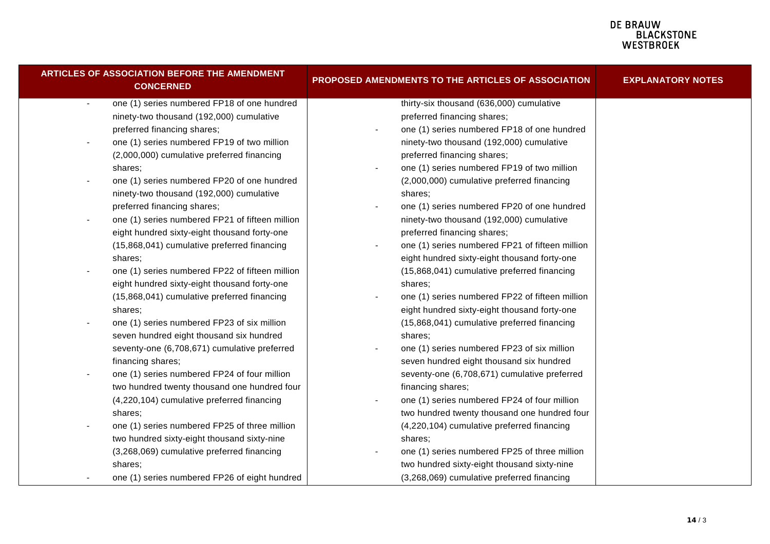| <b>ARTICLES OF ASSOCIATION BEFORE THE AMENDMENT</b><br><b>CONCERNED</b>     | PROPOSED AMENDMENTS TO THE ARTICLES OF ASSOCIATION | <b>EXPLANATORY NOTES</b> |  |
|-----------------------------------------------------------------------------|----------------------------------------------------|--------------------------|--|
| one (1) series numbered FP18 of one hundred<br>$\blacksquare$               | thirty-six thousand (636,000) cumulative           |                          |  |
| ninety-two thousand (192,000) cumulative                                    | preferred financing shares;                        |                          |  |
| preferred financing shares;                                                 | one (1) series numbered FP18 of one hundred        |                          |  |
| one (1) series numbered FP19 of two million<br>$\blacksquare$               | ninety-two thousand (192,000) cumulative           |                          |  |
| (2,000,000) cumulative preferred financing                                  | preferred financing shares;                        |                          |  |
| shares;                                                                     | one (1) series numbered FP19 of two million        |                          |  |
| one (1) series numbered FP20 of one hundred<br>$\blacksquare$               | (2,000,000) cumulative preferred financing         |                          |  |
| ninety-two thousand (192,000) cumulative                                    | shares:                                            |                          |  |
| preferred financing shares;                                                 | one (1) series numbered FP20 of one hundred        |                          |  |
| one (1) series numbered FP21 of fifteen million<br>$\overline{\phantom{a}}$ | ninety-two thousand (192,000) cumulative           |                          |  |
| eight hundred sixty-eight thousand forty-one                                | preferred financing shares;                        |                          |  |
| (15,868,041) cumulative preferred financing                                 | one (1) series numbered FP21 of fifteen million    |                          |  |
| shares;                                                                     | eight hundred sixty-eight thousand forty-one       |                          |  |
| one (1) series numbered FP22 of fifteen million                             | (15,868,041) cumulative preferred financing        |                          |  |
| eight hundred sixty-eight thousand forty-one                                | shares;                                            |                          |  |
| (15,868,041) cumulative preferred financing                                 | one (1) series numbered FP22 of fifteen million    |                          |  |
| shares;                                                                     | eight hundred sixty-eight thousand forty-one       |                          |  |
| one (1) series numbered FP23 of six million<br>$\blacksquare$               | (15,868,041) cumulative preferred financing        |                          |  |
| seven hundred eight thousand six hundred                                    | shares:                                            |                          |  |
| seventy-one (6,708,671) cumulative preferred                                | one (1) series numbered FP23 of six million        |                          |  |
| financing shares;                                                           | seven hundred eight thousand six hundred           |                          |  |
| one (1) series numbered FP24 of four million<br>$\blacksquare$              | seventy-one (6,708,671) cumulative preferred       |                          |  |
| two hundred twenty thousand one hundred four                                | financing shares;                                  |                          |  |
| (4,220,104) cumulative preferred financing                                  | one (1) series numbered FP24 of four million       |                          |  |
| shares;                                                                     | two hundred twenty thousand one hundred four       |                          |  |
| one (1) series numbered FP25 of three million<br>$\blacksquare$             | (4,220,104) cumulative preferred financing         |                          |  |
| two hundred sixty-eight thousand sixty-nine                                 | shares;                                            |                          |  |
| (3,268,069) cumulative preferred financing                                  | one (1) series numbered FP25 of three million      |                          |  |
| shares;                                                                     | two hundred sixty-eight thousand sixty-nine        |                          |  |
| one (1) series numbered FP26 of eight hundred                               | (3,268,069) cumulative preferred financing         |                          |  |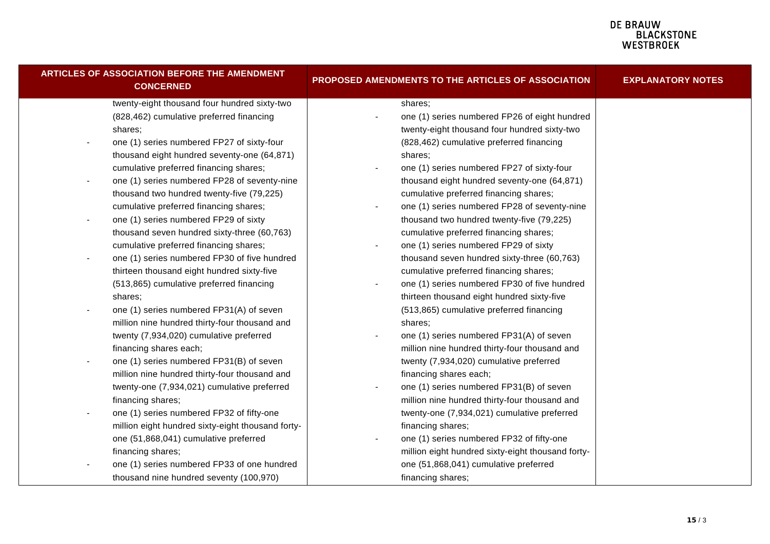| ARTICLES OF ASSOCIATION BEFORE THE AMENDMENT<br><b>CONCERNED</b>         | PROPOSED AMENDMENTS TO THE ARTICLES OF ASSOCIATION | <b>EXPLANATORY NOTES</b> |
|--------------------------------------------------------------------------|----------------------------------------------------|--------------------------|
| twenty-eight thousand four hundred sixty-two                             | shares;                                            |                          |
| (828,462) cumulative preferred financing                                 | one (1) series numbered FP26 of eight hundred      |                          |
| shares;                                                                  | twenty-eight thousand four hundred sixty-two       |                          |
| one (1) series numbered FP27 of sixty-four                               | (828,462) cumulative preferred financing           |                          |
| thousand eight hundred seventy-one (64,871)                              | shares:                                            |                          |
| cumulative preferred financing shares;                                   | one (1) series numbered FP27 of sixty-four         |                          |
| one (1) series numbered FP28 of seventy-nine                             | thousand eight hundred seventy-one (64,871)        |                          |
| thousand two hundred twenty-five (79,225)                                | cumulative preferred financing shares;             |                          |
| cumulative preferred financing shares;                                   | one (1) series numbered FP28 of seventy-nine       |                          |
| one (1) series numbered FP29 of sixty                                    | thousand two hundred twenty-five (79,225)          |                          |
| thousand seven hundred sixty-three (60,763)                              | cumulative preferred financing shares;             |                          |
| cumulative preferred financing shares;                                   | one (1) series numbered FP29 of sixty              |                          |
| one (1) series numbered FP30 of five hundred<br>$\overline{\phantom{a}}$ | thousand seven hundred sixty-three (60,763)        |                          |
| thirteen thousand eight hundred sixty-five                               | cumulative preferred financing shares;             |                          |
| (513,865) cumulative preferred financing                                 | one (1) series numbered FP30 of five hundred       |                          |
| shares;                                                                  | thirteen thousand eight hundred sixty-five         |                          |
| one (1) series numbered FP31(A) of seven                                 | (513,865) cumulative preferred financing           |                          |
| million nine hundred thirty-four thousand and                            | shares:                                            |                          |
| twenty (7,934,020) cumulative preferred                                  | one (1) series numbered FP31(A) of seven           |                          |
| financing shares each;                                                   | million nine hundred thirty-four thousand and      |                          |
| one (1) series numbered FP31(B) of seven<br>$\blacksquare$               | twenty (7,934,020) cumulative preferred            |                          |
| million nine hundred thirty-four thousand and                            | financing shares each;                             |                          |
| twenty-one (7,934,021) cumulative preferred                              | one (1) series numbered FP31(B) of seven           |                          |
| financing shares;                                                        | million nine hundred thirty-four thousand and      |                          |
| one (1) series numbered FP32 of fifty-one<br>$\blacksquare$              | twenty-one (7,934,021) cumulative preferred        |                          |
| million eight hundred sixty-eight thousand forty-                        | financing shares;                                  |                          |
| one (51,868,041) cumulative preferred                                    | one (1) series numbered FP32 of fifty-one          |                          |
| financing shares;                                                        | million eight hundred sixty-eight thousand forty-  |                          |
| one (1) series numbered FP33 of one hundred                              | one (51,868,041) cumulative preferred              |                          |
| thousand nine hundred seventy (100,970)                                  | financing shares;                                  |                          |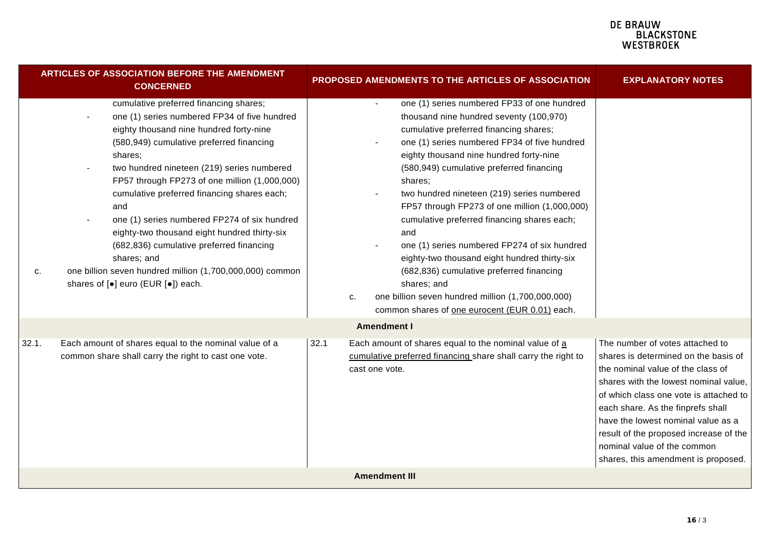|       | <b>ARTICLES OF ASSOCIATION BEFORE THE AMENDMENT</b><br><b>CONCERNED</b>                                                                                                                                                                                                                                                                                                                                                                                                                                                                                                                                                        | PROPOSED AMENDMENTS TO THE ARTICLES OF ASSOCIATION                                                                                                                                                                                                                                                                                                                                                                                                                                                                                                                                                                                                                                                                                                  | <b>EXPLANATORY NOTES</b>                                                                                                                                                                                                                                                                                                                                                                   |
|-------|--------------------------------------------------------------------------------------------------------------------------------------------------------------------------------------------------------------------------------------------------------------------------------------------------------------------------------------------------------------------------------------------------------------------------------------------------------------------------------------------------------------------------------------------------------------------------------------------------------------------------------|-----------------------------------------------------------------------------------------------------------------------------------------------------------------------------------------------------------------------------------------------------------------------------------------------------------------------------------------------------------------------------------------------------------------------------------------------------------------------------------------------------------------------------------------------------------------------------------------------------------------------------------------------------------------------------------------------------------------------------------------------------|--------------------------------------------------------------------------------------------------------------------------------------------------------------------------------------------------------------------------------------------------------------------------------------------------------------------------------------------------------------------------------------------|
| C.    | cumulative preferred financing shares;<br>one (1) series numbered FP34 of five hundred<br>eighty thousand nine hundred forty-nine<br>(580,949) cumulative preferred financing<br>shares:<br>two hundred nineteen (219) series numbered<br>FP57 through FP273 of one million (1,000,000)<br>cumulative preferred financing shares each;<br>and<br>one (1) series numbered FP274 of six hundred<br>eighty-two thousand eight hundred thirty-six<br>(682,836) cumulative preferred financing<br>shares; and<br>one billion seven hundred million (1,700,000,000) common<br>shares of [ $\bullet$ ] euro (EUR [ $\bullet$ ]) each. | one (1) series numbered FP33 of one hundred<br>$\blacksquare$<br>thousand nine hundred seventy (100,970)<br>cumulative preferred financing shares;<br>one (1) series numbered FP34 of five hundred<br>$\blacksquare$<br>eighty thousand nine hundred forty-nine<br>(580,949) cumulative preferred financing<br>shares;<br>two hundred nineteen (219) series numbered<br>FP57 through FP273 of one million (1,000,000)<br>cumulative preferred financing shares each;<br>and<br>one (1) series numbered FP274 of six hundred<br>eighty-two thousand eight hundred thirty-six<br>(682,836) cumulative preferred financing<br>shares; and<br>one billion seven hundred million (1,700,000,000)<br>c.<br>common shares of one eurocent (EUR 0.01) each. |                                                                                                                                                                                                                                                                                                                                                                                            |
|       |                                                                                                                                                                                                                                                                                                                                                                                                                                                                                                                                                                                                                                | <b>Amendment I</b>                                                                                                                                                                                                                                                                                                                                                                                                                                                                                                                                                                                                                                                                                                                                  |                                                                                                                                                                                                                                                                                                                                                                                            |
| 32.1. | Each amount of shares equal to the nominal value of a<br>common share shall carry the right to cast one vote.                                                                                                                                                                                                                                                                                                                                                                                                                                                                                                                  | Each amount of shares equal to the nominal value of a<br>32.1<br>cumulative preferred financing share shall carry the right to<br>cast one vote.                                                                                                                                                                                                                                                                                                                                                                                                                                                                                                                                                                                                    | The number of votes attached to<br>shares is determined on the basis of<br>the nominal value of the class of<br>shares with the lowest nominal value,<br>of which class one vote is attached to<br>each share. As the finprefs shall<br>have the lowest nominal value as a<br>result of the proposed increase of the<br>nominal value of the common<br>shares, this amendment is proposed. |
|       |                                                                                                                                                                                                                                                                                                                                                                                                                                                                                                                                                                                                                                | <b>Amendment III</b>                                                                                                                                                                                                                                                                                                                                                                                                                                                                                                                                                                                                                                                                                                                                |                                                                                                                                                                                                                                                                                                                                                                                            |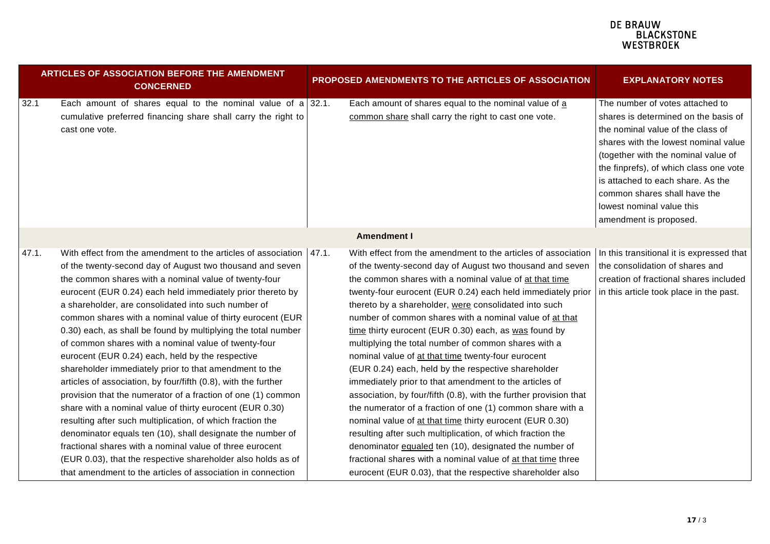| ARTICLES OF ASSOCIATION BEFORE THE AMENDMENT<br><b>CONCERNED</b> |                                                                                                                                                                                                                                                                                                                                                                                                                                                                                                                                                                                                                                                                                                                                                                                                                                                                                                                                                                                                                                                                                                                                            | PROPOSED AMENDMENTS TO THE ARTICLES OF ASSOCIATION                                                                                                                                                                                                                                                                                                                                                                                                                                                                                                                                                                                                                                                                                                                                                                                                                                                                                                                                                                                                                                                                                                              | <b>EXPLANATORY NOTES</b>                                                                                                                                                                                                                                                                                                                                          |  |
|------------------------------------------------------------------|--------------------------------------------------------------------------------------------------------------------------------------------------------------------------------------------------------------------------------------------------------------------------------------------------------------------------------------------------------------------------------------------------------------------------------------------------------------------------------------------------------------------------------------------------------------------------------------------------------------------------------------------------------------------------------------------------------------------------------------------------------------------------------------------------------------------------------------------------------------------------------------------------------------------------------------------------------------------------------------------------------------------------------------------------------------------------------------------------------------------------------------------|-----------------------------------------------------------------------------------------------------------------------------------------------------------------------------------------------------------------------------------------------------------------------------------------------------------------------------------------------------------------------------------------------------------------------------------------------------------------------------------------------------------------------------------------------------------------------------------------------------------------------------------------------------------------------------------------------------------------------------------------------------------------------------------------------------------------------------------------------------------------------------------------------------------------------------------------------------------------------------------------------------------------------------------------------------------------------------------------------------------------------------------------------------------------|-------------------------------------------------------------------------------------------------------------------------------------------------------------------------------------------------------------------------------------------------------------------------------------------------------------------------------------------------------------------|--|
| 32.1                                                             | Each amount of shares equal to the nominal value of a 32.1.<br>cumulative preferred financing share shall carry the right to<br>cast one vote.                                                                                                                                                                                                                                                                                                                                                                                                                                                                                                                                                                                                                                                                                                                                                                                                                                                                                                                                                                                             | Each amount of shares equal to the nominal value of a<br>common share shall carry the right to cast one vote.                                                                                                                                                                                                                                                                                                                                                                                                                                                                                                                                                                                                                                                                                                                                                                                                                                                                                                                                                                                                                                                   | The number of votes attached to<br>shares is determined on the basis of<br>the nominal value of the class of<br>shares with the lowest nominal value<br>(together with the nominal value of<br>the finprefs), of which class one vote<br>is attached to each share. As the<br>common shares shall have the<br>lowest nominal value this<br>amendment is proposed. |  |
|                                                                  |                                                                                                                                                                                                                                                                                                                                                                                                                                                                                                                                                                                                                                                                                                                                                                                                                                                                                                                                                                                                                                                                                                                                            | <b>Amendment I</b>                                                                                                                                                                                                                                                                                                                                                                                                                                                                                                                                                                                                                                                                                                                                                                                                                                                                                                                                                                                                                                                                                                                                              |                                                                                                                                                                                                                                                                                                                                                                   |  |
| 47.1.                                                            | With effect from the amendment to the articles of association   47.1.<br>of the twenty-second day of August two thousand and seven<br>the common shares with a nominal value of twenty-four<br>eurocent (EUR 0.24) each held immediately prior thereto by<br>a shareholder, are consolidated into such number of<br>common shares with a nominal value of thirty eurocent (EUR<br>0.30) each, as shall be found by multiplying the total number<br>of common shares with a nominal value of twenty-four<br>eurocent (EUR 0.24) each, held by the respective<br>shareholder immediately prior to that amendment to the<br>articles of association, by four/fifth (0.8), with the further<br>provision that the numerator of a fraction of one (1) common<br>share with a nominal value of thirty eurocent (EUR 0.30)<br>resulting after such multiplication, of which fraction the<br>denominator equals ten (10), shall designate the number of<br>fractional shares with a nominal value of three eurocent<br>(EUR 0.03), that the respective shareholder also holds as of<br>that amendment to the articles of association in connection | With effect from the amendment to the articles of association   In this transitional it is expressed that<br>of the twenty-second day of August two thousand and seven<br>the common shares with a nominal value of at that time<br>twenty-four eurocent (EUR 0.24) each held immediately prior<br>thereto by a shareholder, were consolidated into such<br>number of common shares with a nominal value of at that<br>time thirty eurocent (EUR 0.30) each, as was found by<br>multiplying the total number of common shares with a<br>nominal value of at that time twenty-four eurocent<br>(EUR 0.24) each, held by the respective shareholder<br>immediately prior to that amendment to the articles of<br>association, by four/fifth (0.8), with the further provision that<br>the numerator of a fraction of one (1) common share with a<br>nominal value of at that time thirty eurocent (EUR 0.30)<br>resulting after such multiplication, of which fraction the<br>denominator equaled ten (10), designated the number of<br>fractional shares with a nominal value of at that time three<br>eurocent (EUR 0.03), that the respective shareholder also | the consolidation of shares and<br>creation of fractional shares included<br>in this article took place in the past.                                                                                                                                                                                                                                              |  |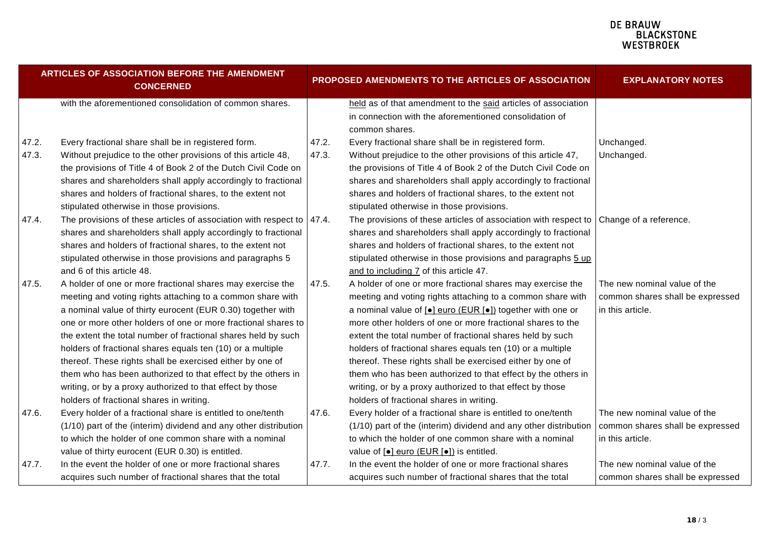| ARTICLES OF ASSOCIATION BEFORE THE AMENDMENT<br><b>CONCERNED</b> |                                                                                                                                                                                                                                                                                                                                                                   |       | PROPOSED AMENDMENTS TO THE ARTICLES OF ASSOCIATION                                                                                                                                                                                                                                                                                                            | <b>EXPLANATORY NOTES</b>                                                             |  |
|------------------------------------------------------------------|-------------------------------------------------------------------------------------------------------------------------------------------------------------------------------------------------------------------------------------------------------------------------------------------------------------------------------------------------------------------|-------|---------------------------------------------------------------------------------------------------------------------------------------------------------------------------------------------------------------------------------------------------------------------------------------------------------------------------------------------------------------|--------------------------------------------------------------------------------------|--|
|                                                                  | with the aforementioned consolidation of common shares.                                                                                                                                                                                                                                                                                                           |       | held as of that amendment to the said articles of association<br>in connection with the aforementioned consolidation of<br>common shares.                                                                                                                                                                                                                     |                                                                                      |  |
| 47.2.                                                            | Every fractional share shall be in registered form.                                                                                                                                                                                                                                                                                                               | 47.2. | Every fractional share shall be in registered form.                                                                                                                                                                                                                                                                                                           | Unchanged.                                                                           |  |
| 47.3.                                                            | Without prejudice to the other provisions of this article 48,<br>the provisions of Title 4 of Book 2 of the Dutch Civil Code on<br>shares and shareholders shall apply accordingly to fractional<br>shares and holders of fractional shares, to the extent not                                                                                                    | 47.3. | Without prejudice to the other provisions of this article 47,<br>the provisions of Title 4 of Book 2 of the Dutch Civil Code on<br>shares and shareholders shall apply accordingly to fractional<br>shares and holders of fractional shares, to the extent not                                                                                                | Unchanged.                                                                           |  |
|                                                                  | stipulated otherwise in those provisions.                                                                                                                                                                                                                                                                                                                         |       | stipulated otherwise in those provisions.                                                                                                                                                                                                                                                                                                                     |                                                                                      |  |
| 47.4.                                                            | The provisions of these articles of association with respect to $\vert$ 47.4.<br>shares and shareholders shall apply accordingly to fractional<br>shares and holders of fractional shares, to the extent not<br>stipulated otherwise in those provisions and paragraphs 5<br>and 6 of this article 48.                                                            |       | The provisions of these articles of association with respect to Change of a reference.<br>shares and shareholders shall apply accordingly to fractional<br>shares and holders of fractional shares, to the extent not<br>stipulated otherwise in those provisions and paragraphs 5 up<br>and to including 7 of this article 47.                               |                                                                                      |  |
| 47.5.                                                            | A holder of one or more fractional shares may exercise the                                                                                                                                                                                                                                                                                                        | 47.5. | A holder of one or more fractional shares may exercise the                                                                                                                                                                                                                                                                                                    | The new nominal value of the                                                         |  |
|                                                                  | meeting and voting rights attaching to a common share with<br>a nominal value of thirty eurocent (EUR 0.30) together with                                                                                                                                                                                                                                         |       | meeting and voting rights attaching to a common share with<br>a nominal value of [ $\bullet$ ] euro (EUR [ $\bullet$ ]) together with one or                                                                                                                                                                                                                  | common shares shall be expressed<br>in this article.                                 |  |
|                                                                  | one or more other holders of one or more fractional shares to                                                                                                                                                                                                                                                                                                     |       | more other holders of one or more fractional shares to the                                                                                                                                                                                                                                                                                                    |                                                                                      |  |
|                                                                  | the extent the total number of fractional shares held by such<br>holders of fractional shares equals ten (10) or a multiple<br>thereof. These rights shall be exercised either by one of<br>them who has been authorized to that effect by the others in<br>writing, or by a proxy authorized to that effect by those<br>holders of fractional shares in writing. |       | extent the total number of fractional shares held by such<br>holders of fractional shares equals ten (10) or a multiple<br>thereof. These rights shall be exercised either by one of<br>them who has been authorized to that effect by the others in<br>writing, or by a proxy authorized to that effect by those<br>holders of fractional shares in writing. |                                                                                      |  |
| 47.6.                                                            | Every holder of a fractional share is entitled to one/tenth<br>(1/10) part of the (interim) dividend and any other distribution<br>to which the holder of one common share with a nominal<br>value of thirty eurocent (EUR 0.30) is entitled.                                                                                                                     | 47.6. | Every holder of a fractional share is entitled to one/tenth<br>(1/10) part of the (interim) dividend and any other distribution<br>to which the holder of one common share with a nominal<br>value of $[•]$ euro (EUR $[•]$ ) is entitled.                                                                                                                    | The new nominal value of the<br>common shares shall be expressed<br>in this article. |  |
| 47.7.                                                            | In the event the holder of one or more fractional shares<br>acquires such number of fractional shares that the total                                                                                                                                                                                                                                              | 47.7. | In the event the holder of one or more fractional shares<br>acquires such number of fractional shares that the total                                                                                                                                                                                                                                          | The new nominal value of the<br>common shares shall be expressed                     |  |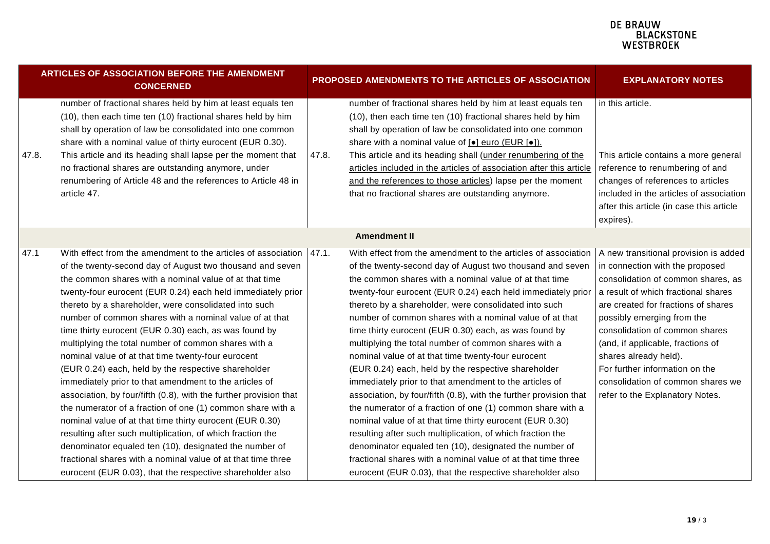| <b>ARTICLES OF ASSOCIATION BEFORE THE AMENDMENT</b><br><b>CONCERNED</b>                                                                                                                                                                                                                                                                                                                                                                                                                                                                                                                                                                                                                                                                                                                                                                                                                                                                                                                                                                                                                                                               |       | PROPOSED AMENDMENTS TO THE ARTICLES OF ASSOCIATION                                                                                                                                                                                                                                                                                                                                                                                                                                                                                                                                                                                                                                                                                                                                                                                                                                                                                                                                                                                                                                                                                                                      | <b>EXPLANATORY NOTES</b>                                                                                                                                                                                                                                                                                                                                                                    |
|---------------------------------------------------------------------------------------------------------------------------------------------------------------------------------------------------------------------------------------------------------------------------------------------------------------------------------------------------------------------------------------------------------------------------------------------------------------------------------------------------------------------------------------------------------------------------------------------------------------------------------------------------------------------------------------------------------------------------------------------------------------------------------------------------------------------------------------------------------------------------------------------------------------------------------------------------------------------------------------------------------------------------------------------------------------------------------------------------------------------------------------|-------|-------------------------------------------------------------------------------------------------------------------------------------------------------------------------------------------------------------------------------------------------------------------------------------------------------------------------------------------------------------------------------------------------------------------------------------------------------------------------------------------------------------------------------------------------------------------------------------------------------------------------------------------------------------------------------------------------------------------------------------------------------------------------------------------------------------------------------------------------------------------------------------------------------------------------------------------------------------------------------------------------------------------------------------------------------------------------------------------------------------------------------------------------------------------------|---------------------------------------------------------------------------------------------------------------------------------------------------------------------------------------------------------------------------------------------------------------------------------------------------------------------------------------------------------------------------------------------|
| number of fractional shares held by him at least equals ten<br>(10), then each time ten (10) fractional shares held by him<br>shall by operation of law be consolidated into one common<br>share with a nominal value of thirty eurocent (EUR 0.30).<br>47.8.<br>This article and its heading shall lapse per the moment that<br>no fractional shares are outstanding anymore, under<br>renumbering of Article 48 and the references to Article 48 in<br>article 47.                                                                                                                                                                                                                                                                                                                                                                                                                                                                                                                                                                                                                                                                  | 47.8. | number of fractional shares held by him at least equals ten<br>(10), then each time ten (10) fractional shares held by him<br>shall by operation of law be consolidated into one common<br>share with a nominal value of [ $\bullet$ ] euro (EUR [ $\bullet$ ]).<br>This article and its heading shall (under renumbering of the<br>articles included in the articles of association after this article<br>and the references to those articles) lapse per the moment<br>that no fractional shares are outstanding anymore.                                                                                                                                                                                                                                                                                                                                                                                                                                                                                                                                                                                                                                             | in this article.<br>This article contains a more general<br>reference to renumbering of and<br>changes of references to articles<br>included in the articles of association<br>after this article (in case this article<br>expires).                                                                                                                                                        |
|                                                                                                                                                                                                                                                                                                                                                                                                                                                                                                                                                                                                                                                                                                                                                                                                                                                                                                                                                                                                                                                                                                                                       |       | <b>Amendment II</b>                                                                                                                                                                                                                                                                                                                                                                                                                                                                                                                                                                                                                                                                                                                                                                                                                                                                                                                                                                                                                                                                                                                                                     |                                                                                                                                                                                                                                                                                                                                                                                             |
| 47.1<br>With effect from the amendment to the articles of association $ 47.1$ .<br>of the twenty-second day of August two thousand and seven<br>the common shares with a nominal value of at that time<br>twenty-four eurocent (EUR 0.24) each held immediately prior<br>thereto by a shareholder, were consolidated into such<br>number of common shares with a nominal value of at that<br>time thirty eurocent (EUR 0.30) each, as was found by<br>multiplying the total number of common shares with a<br>nominal value of at that time twenty-four eurocent<br>(EUR 0.24) each, held by the respective shareholder<br>immediately prior to that amendment to the articles of<br>association, by four/fifth (0.8), with the further provision that<br>the numerator of a fraction of one (1) common share with a<br>nominal value of at that time thirty eurocent (EUR 0.30)<br>resulting after such multiplication, of which fraction the<br>denominator equaled ten (10), designated the number of<br>fractional shares with a nominal value of at that time three<br>eurocent (EUR 0.03), that the respective shareholder also |       | With effect from the amendment to the articles of association $\vert A \vert$ new transitional provision is added<br>of the twenty-second day of August two thousand and seven<br>the common shares with a nominal value of at that time<br>twenty-four eurocent (EUR 0.24) each held immediately prior<br>thereto by a shareholder, were consolidated into such<br>number of common shares with a nominal value of at that<br>time thirty eurocent (EUR 0.30) each, as was found by<br>multiplying the total number of common shares with a<br>nominal value of at that time twenty-four eurocent<br>(EUR 0.24) each, held by the respective shareholder<br>immediately prior to that amendment to the articles of<br>association, by four/fifth (0.8), with the further provision that<br>the numerator of a fraction of one (1) common share with a<br>nominal value of at that time thirty eurocent (EUR 0.30)<br>resulting after such multiplication, of which fraction the<br>denominator equaled ten (10), designated the number of<br>fractional shares with a nominal value of at that time three<br>eurocent (EUR 0.03), that the respective shareholder also | in connection with the proposed<br>consolidation of common shares, as<br>a result of which fractional shares<br>are created for fractions of shares<br>possibly emerging from the<br>consolidation of common shares<br>(and, if applicable, fractions of<br>shares already held).<br>For further information on the<br>consolidation of common shares we<br>refer to the Explanatory Notes. |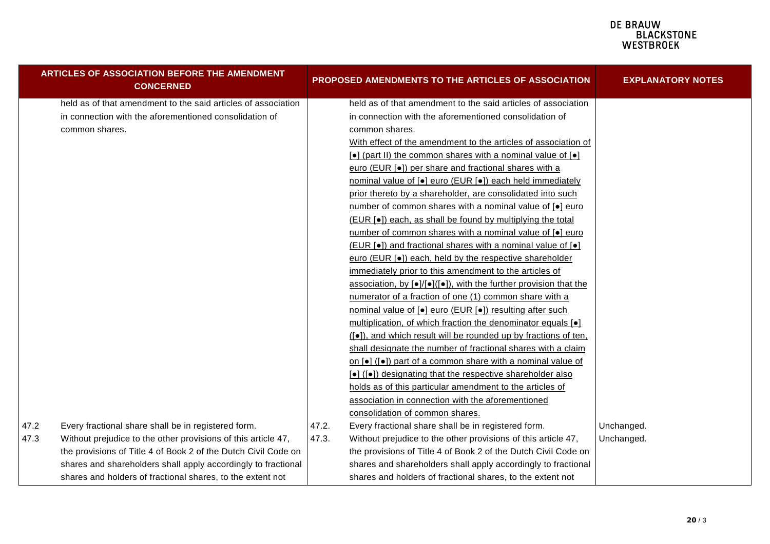|      | <b>ARTICLES OF ASSOCIATION BEFORE THE AMENDMENT</b><br><b>CONCERNED</b> |       | PROPOSED AMENDMENTS TO THE ARTICLES OF ASSOCIATION                                                    | <b>EXPLANATORY NOTES</b> |
|------|-------------------------------------------------------------------------|-------|-------------------------------------------------------------------------------------------------------|--------------------------|
|      | held as of that amendment to the said articles of association           |       | held as of that amendment to the said articles of association                                         |                          |
|      | in connection with the aforementioned consolidation of                  |       | in connection with the aforementioned consolidation of                                                |                          |
|      | common shares.                                                          |       | common shares.                                                                                        |                          |
|      |                                                                         |       | With effect of the amendment to the articles of association of                                        |                          |
|      |                                                                         |       | $\lceil \bullet \rceil$ (part II) the common shares with a nominal value of $\lceil \bullet \rceil$   |                          |
|      |                                                                         |       | euro (EUR [ $\bullet$ ]) per share and fractional shares with a                                       |                          |
|      |                                                                         |       | nominal value of [ $\bullet$ ] euro (EUR [ $\bullet$ ]) each held immediately                         |                          |
|      |                                                                         |       | prior thereto by a shareholder, are consolidated into such                                            |                          |
|      |                                                                         |       | number of common shares with a nominal value of [.] euro                                              |                          |
|      |                                                                         |       | (EUR [•]) each, as shall be found by multiplying the total                                            |                          |
|      |                                                                         |       | number of common shares with a nominal value of [ $\bullet$ ] euro                                    |                          |
|      |                                                                         |       | (EUR [•]) and fractional shares with a nominal value of [•]                                           |                          |
|      |                                                                         |       | euro (EUR [.]) each, held by the respective shareholder                                               |                          |
|      |                                                                         |       | immediately prior to this amendment to the articles of                                                |                          |
|      |                                                                         |       | association, by $\lceil \bullet \rceil / \lceil \bullet \rceil$ , with the further provision that the |                          |
|      |                                                                         |       | numerator of a fraction of one (1) common share with a                                                |                          |
|      |                                                                         |       | nominal value of [ $\bullet$ ] euro (EUR [ $\bullet$ ]) resulting after such                          |                          |
|      |                                                                         |       | multiplication, of which fraction the denominator equals [ $\bullet$ ]                                |                          |
|      |                                                                         |       | ([ $\bullet$ ]), and which result will be rounded up by fractions of ten,                             |                          |
|      |                                                                         |       | shall designate the number of fractional shares with a claim                                          |                          |
|      |                                                                         |       | on [•] ([•]) part of a common share with a nominal value of                                           |                          |
|      |                                                                         |       | [•] ([•]) designating that the respective shareholder also                                            |                          |
|      |                                                                         |       | holds as of this particular amendment to the articles of                                              |                          |
|      |                                                                         |       | association in connection with the aforementioned                                                     |                          |
|      |                                                                         |       | consolidation of common shares.                                                                       |                          |
| 47.2 | Every fractional share shall be in registered form.                     | 47.2. | Every fractional share shall be in registered form.                                                   | Unchanged.               |
| 47.3 | Without prejudice to the other provisions of this article 47,           | 47.3. | Without prejudice to the other provisions of this article 47,                                         | Unchanged.               |
|      | the provisions of Title 4 of Book 2 of the Dutch Civil Code on          |       | the provisions of Title 4 of Book 2 of the Dutch Civil Code on                                        |                          |
|      | shares and shareholders shall apply accordingly to fractional           |       | shares and shareholders shall apply accordingly to fractional                                         |                          |
|      | shares and holders of fractional shares, to the extent not              |       | shares and holders of fractional shares, to the extent not                                            |                          |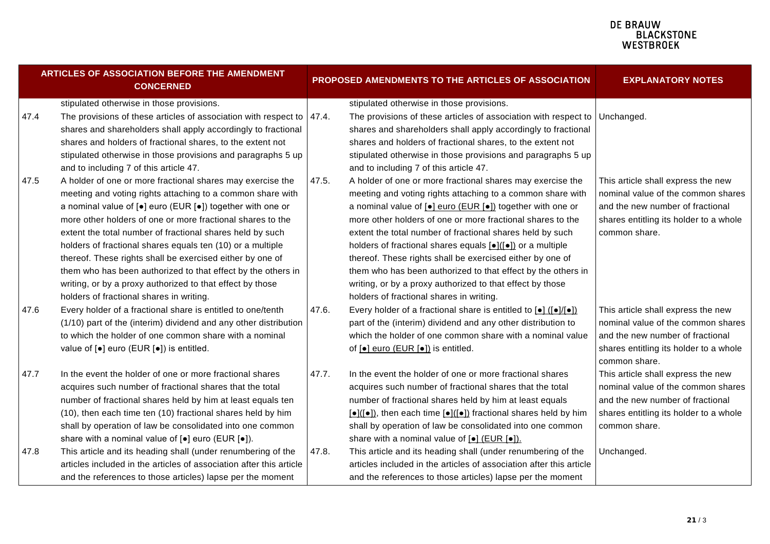| ARTICLES OF ASSOCIATION BEFORE THE AMENDMENT<br><b>CONCERNED</b> |                                                                       |       | PROPOSED AMENDMENTS TO THE ARTICLES OF ASSOCIATION                                                                     | <b>EXPLANATORY NOTES</b>               |
|------------------------------------------------------------------|-----------------------------------------------------------------------|-------|------------------------------------------------------------------------------------------------------------------------|----------------------------------------|
|                                                                  | stipulated otherwise in those provisions.                             |       | stipulated otherwise in those provisions.                                                                              |                                        |
| 47.4                                                             | The provisions of these articles of association with respect to       | 47.4. | The provisions of these articles of association with respect to                                                        | Unchanged.                             |
|                                                                  | shares and shareholders shall apply accordingly to fractional         |       | shares and shareholders shall apply accordingly to fractional                                                          |                                        |
|                                                                  | shares and holders of fractional shares, to the extent not            |       | shares and holders of fractional shares, to the extent not                                                             |                                        |
|                                                                  | stipulated otherwise in those provisions and paragraphs 5 up          |       | stipulated otherwise in those provisions and paragraphs 5 up                                                           |                                        |
|                                                                  | and to including 7 of this article 47.                                |       | and to including 7 of this article 47.                                                                                 |                                        |
| 47.5                                                             | A holder of one or more fractional shares may exercise the            | 47.5. | A holder of one or more fractional shares may exercise the                                                             | This article shall express the new     |
|                                                                  | meeting and voting rights attaching to a common share with            |       | meeting and voting rights attaching to a common share with                                                             | nominal value of the common shares     |
|                                                                  | a nominal value of $[•]$ euro (EUR $[•]$ ) together with one or       |       | a nominal value of $[•]$ euro (EUR $[•]$ ) together with one or                                                        | and the new number of fractional       |
|                                                                  | more other holders of one or more fractional shares to the            |       | more other holders of one or more fractional shares to the                                                             | shares entitling its holder to a whole |
|                                                                  | extent the total number of fractional shares held by such             |       | extent the total number of fractional shares held by such                                                              | common share.                          |
|                                                                  | holders of fractional shares equals ten (10) or a multiple            |       | holders of fractional shares equals [•]([•]) or a multiple                                                             |                                        |
|                                                                  | thereof. These rights shall be exercised either by one of             |       | thereof. These rights shall be exercised either by one of                                                              |                                        |
|                                                                  | them who has been authorized to that effect by the others in          |       | them who has been authorized to that effect by the others in                                                           |                                        |
|                                                                  | writing, or by a proxy authorized to that effect by those             |       | writing, or by a proxy authorized to that effect by those                                                              |                                        |
|                                                                  | holders of fractional shares in writing.                              |       | holders of fractional shares in writing.                                                                               |                                        |
| 47.6                                                             | Every holder of a fractional share is entitled to one/tenth           | 47.6. | Every holder of a fractional share is entitled to $\bullet$ ( $\bullet$ )/ $\bullet$ ))                                | This article shall express the new     |
|                                                                  | (1/10) part of the (interim) dividend and any other distribution      |       | part of the (interim) dividend and any other distribution to                                                           | nominal value of the common shares     |
|                                                                  | to which the holder of one common share with a nominal                |       | which the holder of one common share with a nominal value                                                              | and the new number of fractional       |
|                                                                  | value of [•] euro (EUR [•]) is entitled.                              |       | of [ $\bullet$ ] euro (EUR [ $\bullet$ ]) is entitled.                                                                 | shares entitling its holder to a whole |
|                                                                  |                                                                       |       |                                                                                                                        | common share.                          |
| 47.7                                                             | In the event the holder of one or more fractional shares              | 47.7. | In the event the holder of one or more fractional shares                                                               | This article shall express the new     |
|                                                                  | acquires such number of fractional shares that the total              |       | acquires such number of fractional shares that the total                                                               | nominal value of the common shares     |
|                                                                  | number of fractional shares held by him at least equals ten           |       | number of fractional shares held by him at least equals                                                                | and the new number of fractional       |
|                                                                  | (10), then each time ten (10) fractional shares held by him           |       | $\left[\bullet\right]$ ( $\left[\bullet\right]$ ), then each time $\left[\bullet\right]$ fractional shares held by him | shares entitling its holder to a whole |
|                                                                  | shall by operation of law be consolidated into one common             |       | shall by operation of law be consolidated into one common                                                              | common share.                          |
|                                                                  | share with a nominal value of [ $\bullet$ ] euro (EUR [ $\bullet$ ]). |       | share with a nominal value of $\lceil \bullet \rceil$ (EUR $\lceil \bullet \rceil$ ).                                  |                                        |
| 47.8                                                             | This article and its heading shall (under renumbering of the          | 47.8. | This article and its heading shall (under renumbering of the                                                           | Unchanged.                             |
|                                                                  | articles included in the articles of association after this article   |       | articles included in the articles of association after this article                                                    |                                        |
|                                                                  | and the references to those articles) lapse per the moment            |       | and the references to those articles) lapse per the moment                                                             |                                        |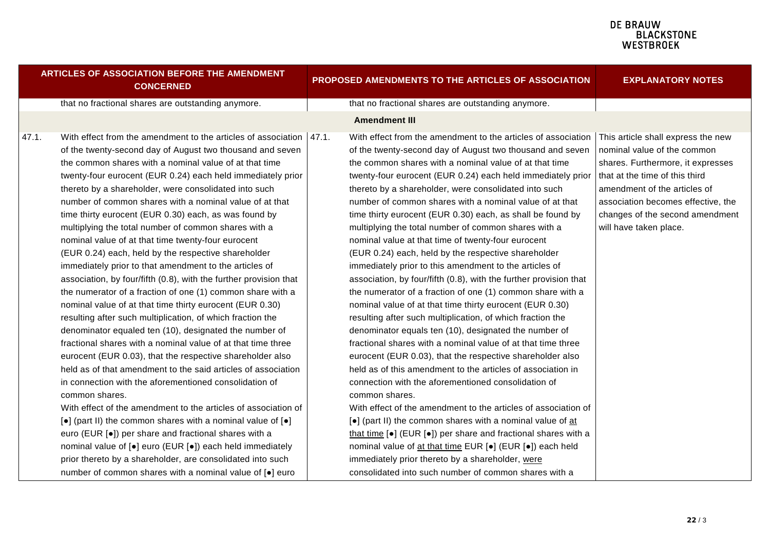| <b>EXPLANATORY NOTES</b>                                                                                                                                                                                                              | <b>PROPOSED AMENDMENTS TO THE ARTICLES OF ASSOCIATION</b>                                                                                                                                                                                                                                                                                                                                                                                                                                                                                                                                                                                                                                                                                                                                                                                                                                                                                                                                                                                                                                                                                                                                                                                                                                                                                                                                                                                                                                                                                                                                                                                                      | <b>ARTICLES OF ASSOCIATION BEFORE THE AMENDMENT</b><br><b>CONCERNED</b>                                                                                                                                                                                                                                                                                                                                                                                                                                                                                                                                                                                                                                                                                                                                                                                                                                                                                                                                                                                                                                                                                                                                                                                                                                                                                                                                                                                                                                                                                                                                                                      |  |  |
|---------------------------------------------------------------------------------------------------------------------------------------------------------------------------------------------------------------------------------------|----------------------------------------------------------------------------------------------------------------------------------------------------------------------------------------------------------------------------------------------------------------------------------------------------------------------------------------------------------------------------------------------------------------------------------------------------------------------------------------------------------------------------------------------------------------------------------------------------------------------------------------------------------------------------------------------------------------------------------------------------------------------------------------------------------------------------------------------------------------------------------------------------------------------------------------------------------------------------------------------------------------------------------------------------------------------------------------------------------------------------------------------------------------------------------------------------------------------------------------------------------------------------------------------------------------------------------------------------------------------------------------------------------------------------------------------------------------------------------------------------------------------------------------------------------------------------------------------------------------------------------------------------------------|----------------------------------------------------------------------------------------------------------------------------------------------------------------------------------------------------------------------------------------------------------------------------------------------------------------------------------------------------------------------------------------------------------------------------------------------------------------------------------------------------------------------------------------------------------------------------------------------------------------------------------------------------------------------------------------------------------------------------------------------------------------------------------------------------------------------------------------------------------------------------------------------------------------------------------------------------------------------------------------------------------------------------------------------------------------------------------------------------------------------------------------------------------------------------------------------------------------------------------------------------------------------------------------------------------------------------------------------------------------------------------------------------------------------------------------------------------------------------------------------------------------------------------------------------------------------------------------------------------------------------------------------|--|--|
|                                                                                                                                                                                                                                       | that no fractional shares are outstanding anymore.                                                                                                                                                                                                                                                                                                                                                                                                                                                                                                                                                                                                                                                                                                                                                                                                                                                                                                                                                                                                                                                                                                                                                                                                                                                                                                                                                                                                                                                                                                                                                                                                             | that no fractional shares are outstanding anymore.                                                                                                                                                                                                                                                                                                                                                                                                                                                                                                                                                                                                                                                                                                                                                                                                                                                                                                                                                                                                                                                                                                                                                                                                                                                                                                                                                                                                                                                                                                                                                                                           |  |  |
|                                                                                                                                                                                                                                       | <b>Amendment III</b>                                                                                                                                                                                                                                                                                                                                                                                                                                                                                                                                                                                                                                                                                                                                                                                                                                                                                                                                                                                                                                                                                                                                                                                                                                                                                                                                                                                                                                                                                                                                                                                                                                           |                                                                                                                                                                                                                                                                                                                                                                                                                                                                                                                                                                                                                                                                                                                                                                                                                                                                                                                                                                                                                                                                                                                                                                                                                                                                                                                                                                                                                                                                                                                                                                                                                                              |  |  |
| nominal value of the common<br>shares. Furthermore, it expresses<br>that at the time of this third<br>amendment of the articles of<br>association becomes effective, the<br>changes of the second amendment<br>will have taken place. | With effect from the amendment to the articles of association   This article shall express the new<br>of the twenty-second day of August two thousand and seven<br>the common shares with a nominal value of at that time<br>twenty-four eurocent (EUR 0.24) each held immediately prior<br>thereto by a shareholder, were consolidated into such<br>number of common shares with a nominal value of at that<br>time thirty eurocent (EUR 0.30) each, as shall be found by<br>multiplying the total number of common shares with a<br>nominal value at that time of twenty-four eurocent<br>(EUR 0.24) each, held by the respective shareholder<br>immediately prior to this amendment to the articles of<br>association, by four/fifth (0.8), with the further provision that<br>the numerator of a fraction of one (1) common share with a<br>nominal value of at that time thirty eurocent (EUR 0.30)<br>resulting after such multiplication, of which fraction the<br>denominator equals ten (10), designated the number of<br>fractional shares with a nominal value of at that time three<br>eurocent (EUR 0.03), that the respective shareholder also<br>held as of this amendment to the articles of association in<br>connection with the aforementioned consolidation of<br>common shares.<br>With effect of the amendment to the articles of association of<br>[•] (part II) the common shares with a nominal value of at<br>that time $\left[\bullet\right]$ (EUR $\left[\bullet\right]$ ) per share and fractional shares with a<br>nominal value of at that time EUR [.] (EUR [.]) each held<br>immediately prior thereto by a shareholder, were | With effect from the amendment to the articles of association   47.1.<br>47.1.<br>of the twenty-second day of August two thousand and seven<br>the common shares with a nominal value of at that time<br>twenty-four eurocent (EUR 0.24) each held immediately prior<br>thereto by a shareholder, were consolidated into such<br>number of common shares with a nominal value of at that<br>time thirty eurocent (EUR 0.30) each, as was found by<br>multiplying the total number of common shares with a<br>nominal value of at that time twenty-four eurocent<br>(EUR 0.24) each, held by the respective shareholder<br>immediately prior to that amendment to the articles of<br>association, by four/fifth (0.8), with the further provision that<br>the numerator of a fraction of one (1) common share with a<br>nominal value of at that time thirty eurocent (EUR 0.30)<br>resulting after such multiplication, of which fraction the<br>denominator equaled ten (10), designated the number of<br>fractional shares with a nominal value of at that time three<br>eurocent (EUR 0.03), that the respective shareholder also<br>held as of that amendment to the said articles of association<br>in connection with the aforementioned consolidation of<br>common shares.<br>With effect of the amendment to the articles of association of<br>$\left[\bullet\right]$ (part II) the common shares with a nominal value of $\left[\bullet\right]$<br>euro (EUR [.]) per share and fractional shares with a<br>nominal value of [●] euro (EUR [●]) each held immediately<br>prior thereto by a shareholder, are consolidated into such |  |  |
|                                                                                                                                                                                                                                       | consolidated into such number of common shares with a                                                                                                                                                                                                                                                                                                                                                                                                                                                                                                                                                                                                                                                                                                                                                                                                                                                                                                                                                                                                                                                                                                                                                                                                                                                                                                                                                                                                                                                                                                                                                                                                          | number of common shares with a nominal value of [ $\bullet$ ] euro                                                                                                                                                                                                                                                                                                                                                                                                                                                                                                                                                                                                                                                                                                                                                                                                                                                                                                                                                                                                                                                                                                                                                                                                                                                                                                                                                                                                                                                                                                                                                                           |  |  |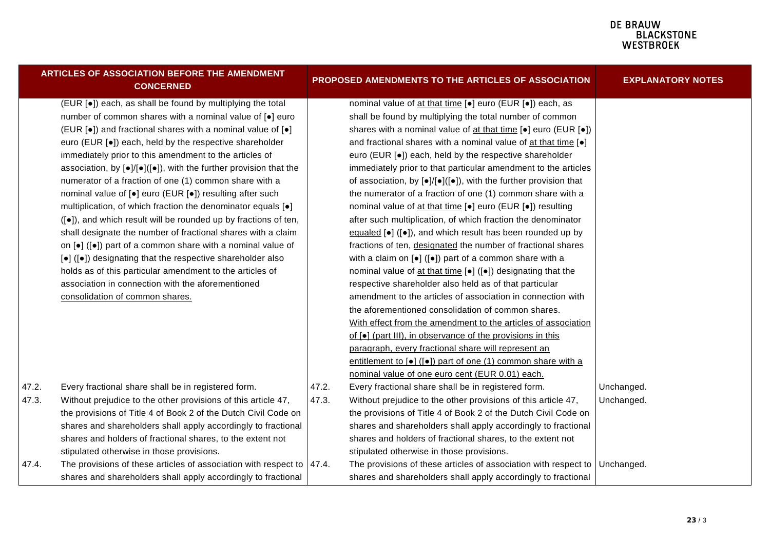|       | ARTICLES OF ASSOCIATION BEFORE THE AMENDMENT<br><b>CONCERNED</b>                                    |       | PROPOSED AMENDMENTS TO THE ARTICLES OF ASSOCIATION                                                 | <b>EXPLANATORY NOTES</b> |
|-------|-----------------------------------------------------------------------------------------------------|-------|----------------------------------------------------------------------------------------------------|--------------------------|
|       | (EUR [•]) each, as shall be found by multiplying the total                                          |       | nominal value of at that time [.] euro (EUR [.]) each, as                                          |                          |
|       | number of common shares with a nominal value of [.] euro                                            |       | shall be found by multiplying the total number of common                                           |                          |
|       | (EUR [•]) and fractional shares with a nominal value of [•]                                         |       | shares with a nominal value of at that time [ $\bullet$ ] euro (EUR [ $\bullet$ ])                 |                          |
|       | euro (EUR [.]) each, held by the respective shareholder                                             |       | and fractional shares with a nominal value of at that time $[e]$                                   |                          |
|       | immediately prior to this amendment to the articles of                                              |       | euro (EUR [.]) each, held by the respective shareholder                                            |                          |
|       | association, by $[\bullet] / [\bullet] ([\bullet])$ , with the further provision that the           |       | immediately prior to that particular amendment to the articles                                     |                          |
|       | numerator of a fraction of one (1) common share with a                                              |       | of association, by $[\bullet] / [\bullet] ([\bullet])$ , with the further provision that           |                          |
|       | nominal value of [●] euro (EUR [●]) resulting after such                                            |       | the numerator of a fraction of one (1) common share with a                                         |                          |
|       | multiplication, of which fraction the denominator equals [.]                                        |       | nominal value of at that time [.] euro (EUR [.]) resulting                                         |                          |
|       | ([•]), and which result will be rounded up by fractions of ten,                                     |       | after such multiplication, of which fraction the denominator                                       |                          |
|       | shall designate the number of fractional shares with a claim                                        |       | equaled $\left[\bullet\right]$ ( $\left[\bullet\right]$ ), and which result has been rounded up by |                          |
|       | on $\left[\bullet\right]$ ( $\left[\bullet\right]$ ) part of a common share with a nominal value of |       | fractions of ten, designated the number of fractional shares                                       |                          |
|       | [•] ([•]) designating that the respective shareholder also                                          |       | with a claim on $\left[\bullet\right]$ ( $\left[\bullet\right]$ ) part of a common share with a    |                          |
|       | holds as of this particular amendment to the articles of                                            |       | nominal value of at that time [•] ([•]) designating that the                                       |                          |
|       | association in connection with the aforementioned                                                   |       | respective shareholder also held as of that particular                                             |                          |
|       | consolidation of common shares.                                                                     |       | amendment to the articles of association in connection with                                        |                          |
|       |                                                                                                     |       | the aforementioned consolidation of common shares.                                                 |                          |
|       |                                                                                                     |       | With effect from the amendment to the articles of association                                      |                          |
|       |                                                                                                     |       | of $\lceil \bullet \rceil$ (part III), in observance of the provisions in this                     |                          |
|       |                                                                                                     |       | paragraph, every fractional share will represent an                                                |                          |
|       |                                                                                                     |       | entitlement to [ $\bullet$ ] ([ $\bullet$ ]) part of one (1) common share with a                   |                          |
|       |                                                                                                     |       | nominal value of one euro cent (EUR 0.01) each.                                                    |                          |
| 47.2. | Every fractional share shall be in registered form.                                                 | 47.2. | Every fractional share shall be in registered form.                                                | Unchanged.               |
| 47.3. | Without prejudice to the other provisions of this article 47,                                       | 47.3. | Without prejudice to the other provisions of this article 47,                                      | Unchanged.               |
|       | the provisions of Title 4 of Book 2 of the Dutch Civil Code on                                      |       | the provisions of Title 4 of Book 2 of the Dutch Civil Code on                                     |                          |
|       | shares and shareholders shall apply accordingly to fractional                                       |       | shares and shareholders shall apply accordingly to fractional                                      |                          |
|       | shares and holders of fractional shares, to the extent not                                          |       | shares and holders of fractional shares, to the extent not                                         |                          |
|       | stipulated otherwise in those provisions.                                                           |       | stipulated otherwise in those provisions.                                                          |                          |
| 47.4. | The provisions of these articles of association with respect to $ 47.4$ .                           |       | The provisions of these articles of association with respect to                                    | Unchanged.               |
|       | shares and shareholders shall apply accordingly to fractional                                       |       | shares and shareholders shall apply accordingly to fractional                                      |                          |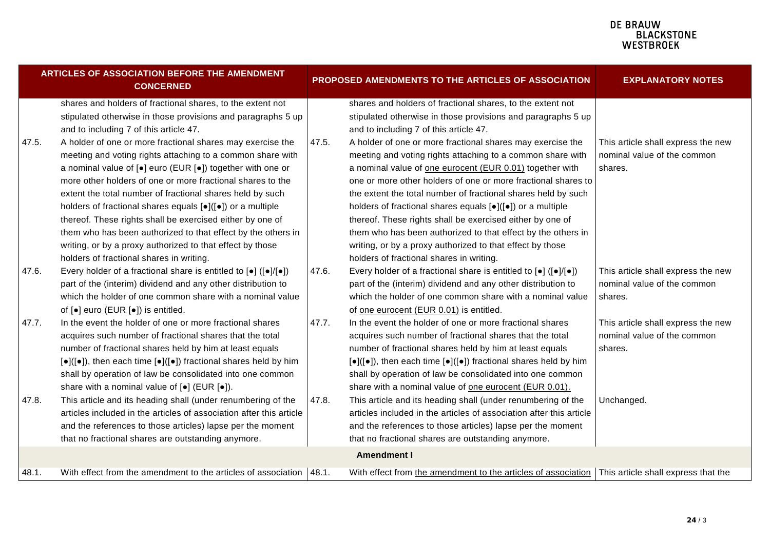|       | <b>ARTICLES OF ASSOCIATION BEFORE THE AMENDMENT</b><br><b>CONCERNED</b>                                                                                                                                                                                                                                                                                                                                                                                                                                                                                                                                               |       | PROPOSED AMENDMENTS TO THE ARTICLES OF ASSOCIATION                                                                                                                                                                                                                                                                                                                                                                                                                                                                                                                                                                         | <b>EXPLANATORY NOTES</b>                                                     |
|-------|-----------------------------------------------------------------------------------------------------------------------------------------------------------------------------------------------------------------------------------------------------------------------------------------------------------------------------------------------------------------------------------------------------------------------------------------------------------------------------------------------------------------------------------------------------------------------------------------------------------------------|-------|----------------------------------------------------------------------------------------------------------------------------------------------------------------------------------------------------------------------------------------------------------------------------------------------------------------------------------------------------------------------------------------------------------------------------------------------------------------------------------------------------------------------------------------------------------------------------------------------------------------------------|------------------------------------------------------------------------------|
|       | shares and holders of fractional shares, to the extent not<br>stipulated otherwise in those provisions and paragraphs 5 up<br>and to including 7 of this article 47.                                                                                                                                                                                                                                                                                                                                                                                                                                                  |       | shares and holders of fractional shares, to the extent not<br>stipulated otherwise in those provisions and paragraphs 5 up<br>and to including 7 of this article 47.                                                                                                                                                                                                                                                                                                                                                                                                                                                       |                                                                              |
| 47.5. | A holder of one or more fractional shares may exercise the<br>meeting and voting rights attaching to a common share with<br>a nominal value of [•] euro (EUR [•]) together with one or<br>more other holders of one or more fractional shares to the<br>extent the total number of fractional shares held by such<br>holders of fractional shares equals [•]([•]) or a multiple<br>thereof. These rights shall be exercised either by one of<br>them who has been authorized to that effect by the others in<br>writing, or by a proxy authorized to that effect by those<br>holders of fractional shares in writing. | 47.5. | A holder of one or more fractional shares may exercise the<br>meeting and voting rights attaching to a common share with<br>a nominal value of one eurocent (EUR 0.01) together with<br>one or more other holders of one or more fractional shares to<br>the extent the total number of fractional shares held by such<br>holders of fractional shares equals [•]([•]) or a multiple<br>thereof. These rights shall be exercised either by one of<br>them who has been authorized to that effect by the others in<br>writing, or by a proxy authorized to that effect by those<br>holders of fractional shares in writing. | This article shall express the new<br>nominal value of the common<br>shares. |
| 47.6. | Every holder of a fractional share is entitled to $\left[\bullet\right]$ ( $\left[\bullet\right]$ / $\left[\bullet\right]$ )<br>part of the (interim) dividend and any other distribution to<br>which the holder of one common share with a nominal value<br>of [ $\bullet$ ] euro (EUR [ $\bullet$ ]) is entitled.                                                                                                                                                                                                                                                                                                   | 47.6. | Every holder of a fractional share is entitled to $\left[\bullet\right]$ ( $\left[\bullet\right]$ / $\left[\bullet\right]$ )<br>part of the (interim) dividend and any other distribution to<br>which the holder of one common share with a nominal value<br>of one eurocent (EUR 0.01) is entitled.                                                                                                                                                                                                                                                                                                                       | This article shall express the new<br>nominal value of the common<br>shares. |
| 47.7. | In the event the holder of one or more fractional shares<br>acquires such number of fractional shares that the total<br>number of fractional shares held by him at least equals<br>$[\bullet]([\bullet])$ , then each time $[\bullet]([\bullet])$ fractional shares held by him<br>shall by operation of law be consolidated into one common<br>share with a nominal value of [ $\bullet$ ] (EUR [ $\bullet$ ]).                                                                                                                                                                                                      | 47.7. | In the event the holder of one or more fractional shares<br>acquires such number of fractional shares that the total<br>number of fractional shares held by him at least equals<br>$[\bullet]([\bullet])$ , then each time $[\bullet]([\bullet])$ fractional shares held by him<br>shall by operation of law be consolidated into one common<br>share with a nominal value of one eurocent (EUR 0.01).                                                                                                                                                                                                                     | This article shall express the new<br>nominal value of the common<br>shares. |
| 47.8. | This article and its heading shall (under renumbering of the<br>articles included in the articles of association after this article<br>and the references to those articles) lapse per the moment<br>that no fractional shares are outstanding anymore.                                                                                                                                                                                                                                                                                                                                                               | 47.8. | This article and its heading shall (under renumbering of the<br>articles included in the articles of association after this article<br>and the references to those articles) lapse per the moment<br>that no fractional shares are outstanding anymore.                                                                                                                                                                                                                                                                                                                                                                    | Unchanged.                                                                   |
|       |                                                                                                                                                                                                                                                                                                                                                                                                                                                                                                                                                                                                                       |       | <b>Amendment I</b>                                                                                                                                                                                                                                                                                                                                                                                                                                                                                                                                                                                                         |                                                                              |
| 48.1. | With effect from the amendment to the articles of association   48.1.                                                                                                                                                                                                                                                                                                                                                                                                                                                                                                                                                 |       | With effect from the amendment to the articles of association This article shall express that the                                                                                                                                                                                                                                                                                                                                                                                                                                                                                                                          |                                                                              |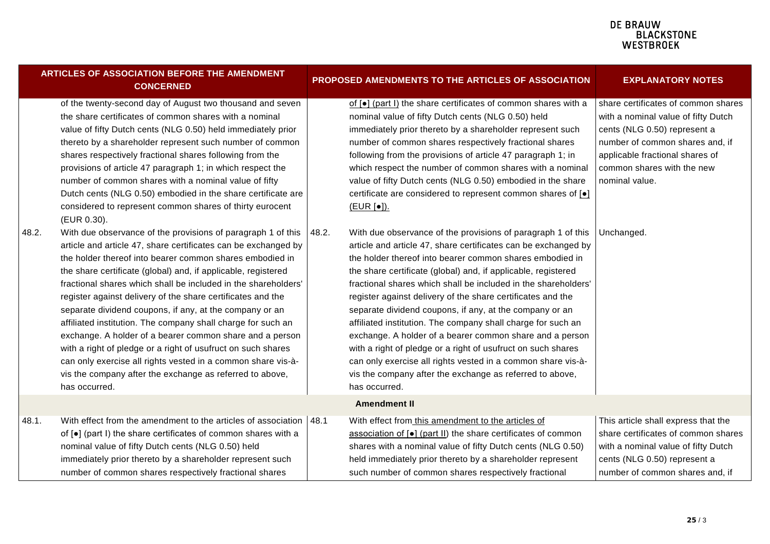| <b>ARTICLES OF ASSOCIATION BEFORE THE AMENDMENT</b><br><b>CONCERNED</b> |                                                                                                                                                                                                                                                                                                                                                                                                                                                                                                                                                                                                                                                                                                                 |       | PROPOSED AMENDMENTS TO THE ARTICLES OF ASSOCIATION                                                                                                                                                                                                                                                                                                                                                                                                                                                                                                                                                                                                              | <b>EXPLANATORY NOTES</b>                                                                                                                                                                                                                       |
|-------------------------------------------------------------------------|-----------------------------------------------------------------------------------------------------------------------------------------------------------------------------------------------------------------------------------------------------------------------------------------------------------------------------------------------------------------------------------------------------------------------------------------------------------------------------------------------------------------------------------------------------------------------------------------------------------------------------------------------------------------------------------------------------------------|-------|-----------------------------------------------------------------------------------------------------------------------------------------------------------------------------------------------------------------------------------------------------------------------------------------------------------------------------------------------------------------------------------------------------------------------------------------------------------------------------------------------------------------------------------------------------------------------------------------------------------------------------------------------------------------|------------------------------------------------------------------------------------------------------------------------------------------------------------------------------------------------------------------------------------------------|
| 48.2.                                                                   | of the twenty-second day of August two thousand and seven<br>the share certificates of common shares with a nominal<br>value of fifty Dutch cents (NLG 0.50) held immediately prior<br>thereto by a shareholder represent such number of common<br>shares respectively fractional shares following from the<br>provisions of article 47 paragraph 1; in which respect the<br>number of common shares with a nominal value of fifty<br>Dutch cents (NLG 0.50) embodied in the share certificate are<br>considered to represent common shares of thirty eurocent<br>(EUR 0.30).<br>With due observance of the provisions of paragraph 1 of this<br>article and article 47, share certificates can be exchanged by | 48.2. | of [ $\bullet$ ] (part I) the share certificates of common shares with a<br>nominal value of fifty Dutch cents (NLG 0.50) held<br>immediately prior thereto by a shareholder represent such<br>number of common shares respectively fractional shares<br>following from the provisions of article 47 paragraph 1; in<br>which respect the number of common shares with a nominal<br>value of fifty Dutch cents (NLG 0.50) embodied in the share<br>certificate are considered to represent common shares of [.]<br>(EUR [•]).<br>With due observance of the provisions of paragraph 1 of this<br>article and article 47, share certificates can be exchanged by | share certificates of common shares<br>with a nominal value of fifty Dutch<br>cents (NLG 0.50) represent a<br>number of common shares and, if<br>applicable fractional shares of<br>common shares with the new<br>nominal value.<br>Unchanged. |
|                                                                         | the holder thereof into bearer common shares embodied in<br>the share certificate (global) and, if applicable, registered<br>fractional shares which shall be included in the shareholders'<br>register against delivery of the share certificates and the<br>separate dividend coupons, if any, at the company or an<br>affiliated institution. The company shall charge for such an<br>exchange. A holder of a bearer common share and a person<br>with a right of pledge or a right of usufruct on such shares<br>can only exercise all rights vested in a common share vis-à-<br>vis the company after the exchange as referred to above,<br>has occurred.                                                  |       | the holder thereof into bearer common shares embodied in<br>the share certificate (global) and, if applicable, registered<br>fractional shares which shall be included in the shareholders'<br>register against delivery of the share certificates and the<br>separate dividend coupons, if any, at the company or an<br>affiliated institution. The company shall charge for such an<br>exchange. A holder of a bearer common share and a person<br>with a right of pledge or a right of usufruct on such shares<br>can only exercise all rights vested in a common share vis-à-<br>vis the company after the exchange as referred to above,<br>has occurred.  |                                                                                                                                                                                                                                                |
|                                                                         |                                                                                                                                                                                                                                                                                                                                                                                                                                                                                                                                                                                                                                                                                                                 |       | <b>Amendment II</b>                                                                                                                                                                                                                                                                                                                                                                                                                                                                                                                                                                                                                                             |                                                                                                                                                                                                                                                |
| 48.1.                                                                   | With effect from the amendment to the articles of association   48.1<br>of [•] (part I) the share certificates of common shares with a<br>nominal value of fifty Dutch cents (NLG 0.50) held<br>immediately prior thereto by a shareholder represent such<br>number of common shares respectively fractional shares                                                                                                                                                                                                                                                                                                                                                                                             |       | With effect from this amendment to the articles of<br>association of [ $\bullet$ ] (part II) the share certificates of common<br>shares with a nominal value of fifty Dutch cents (NLG 0.50)<br>held immediately prior thereto by a shareholder represent<br>such number of common shares respectively fractional                                                                                                                                                                                                                                                                                                                                               | This article shall express that the<br>share certificates of common shares<br>with a nominal value of fifty Dutch<br>cents (NLG 0.50) represent a<br>number of common shares and, if                                                           |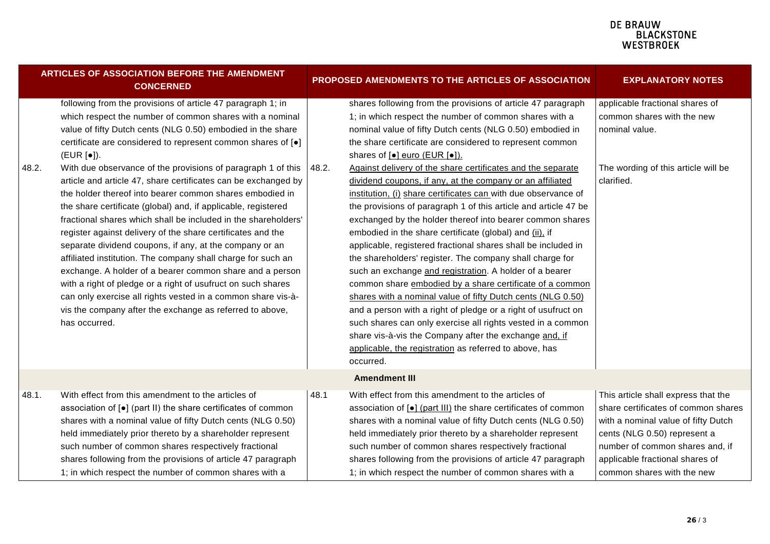|       | <b>ARTICLES OF ASSOCIATION BEFORE THE AMENDMENT</b><br><b>CONCERNED</b>                                                                                                                                                                                                                                                                                                                                                                                                                                                                                                                                                                                                                                                                                                                                                                                                                                                                                                                                                                                                            |       | PROPOSED AMENDMENTS TO THE ARTICLES OF ASSOCIATION                                                                                                                                                                                                                                                                                                                                                                                                                                                                                                                                                                                                                                                                                                                                                                                                                                                                                                                                                                                                                                                                                                                                                                                                                                | <b>EXPLANATORY NOTES</b>                                                                                                                                                                                                                              |
|-------|------------------------------------------------------------------------------------------------------------------------------------------------------------------------------------------------------------------------------------------------------------------------------------------------------------------------------------------------------------------------------------------------------------------------------------------------------------------------------------------------------------------------------------------------------------------------------------------------------------------------------------------------------------------------------------------------------------------------------------------------------------------------------------------------------------------------------------------------------------------------------------------------------------------------------------------------------------------------------------------------------------------------------------------------------------------------------------|-------|-----------------------------------------------------------------------------------------------------------------------------------------------------------------------------------------------------------------------------------------------------------------------------------------------------------------------------------------------------------------------------------------------------------------------------------------------------------------------------------------------------------------------------------------------------------------------------------------------------------------------------------------------------------------------------------------------------------------------------------------------------------------------------------------------------------------------------------------------------------------------------------------------------------------------------------------------------------------------------------------------------------------------------------------------------------------------------------------------------------------------------------------------------------------------------------------------------------------------------------------------------------------------------------|-------------------------------------------------------------------------------------------------------------------------------------------------------------------------------------------------------------------------------------------------------|
| 48.2. | following from the provisions of article 47 paragraph 1; in<br>which respect the number of common shares with a nominal<br>value of fifty Dutch cents (NLG 0.50) embodied in the share<br>certificate are considered to represent common shares of [ $\bullet$ ]<br>(EUR [•]).<br>With due observance of the provisions of paragraph 1 of this<br>article and article 47, share certificates can be exchanged by<br>the holder thereof into bearer common shares embodied in<br>the share certificate (global) and, if applicable, registered<br>fractional shares which shall be included in the shareholders'<br>register against delivery of the share certificates and the<br>separate dividend coupons, if any, at the company or an<br>affiliated institution. The company shall charge for such an<br>exchange. A holder of a bearer common share and a person<br>with a right of pledge or a right of usufruct on such shares<br>can only exercise all rights vested in a common share vis-à-<br>vis the company after the exchange as referred to above,<br>has occurred. | 48.2. | shares following from the provisions of article 47 paragraph<br>1; in which respect the number of common shares with a<br>nominal value of fifty Dutch cents (NLG 0.50) embodied in<br>the share certificate are considered to represent common<br>shares of [ $\bullet$ ] euro (EUR [ $\bullet$ ]).<br>Against delivery of the share certificates and the separate<br>dividend coupons, if any, at the company or an affiliated<br>institution, (i) share certificates can with due observance of<br>the provisions of paragraph 1 of this article and article 47 be<br>exchanged by the holder thereof into bearer common shares<br>embodied in the share certificate (global) and (ii), if<br>applicable, registered fractional shares shall be included in<br>the shareholders' register. The company shall charge for<br>such an exchange and registration. A holder of a bearer<br>common share embodied by a share certificate of a common<br>shares with a nominal value of fifty Dutch cents (NLG 0.50)<br>and a person with a right of pledge or a right of usufruct on<br>such shares can only exercise all rights vested in a common<br>share vis-à-vis the Company after the exchange and, if<br>applicable, the registration as referred to above, has<br>occurred. | applicable fractional shares of<br>common shares with the new<br>nominal value.<br>The wording of this article will be<br>clarified.                                                                                                                  |
|       |                                                                                                                                                                                                                                                                                                                                                                                                                                                                                                                                                                                                                                                                                                                                                                                                                                                                                                                                                                                                                                                                                    |       | <b>Amendment III</b>                                                                                                                                                                                                                                                                                                                                                                                                                                                                                                                                                                                                                                                                                                                                                                                                                                                                                                                                                                                                                                                                                                                                                                                                                                                              |                                                                                                                                                                                                                                                       |
| 48.1. | With effect from this amendment to the articles of<br>association of [•] (part II) the share certificates of common<br>shares with a nominal value of fifty Dutch cents (NLG 0.50)<br>held immediately prior thereto by a shareholder represent<br>such number of common shares respectively fractional<br>shares following from the provisions of article 47 paragraph<br>1; in which respect the number of common shares with a                                                                                                                                                                                                                                                                                                                                                                                                                                                                                                                                                                                                                                                  | 48.1  | With effect from this amendment to the articles of<br>association of [•] (part III) the share certificates of common<br>shares with a nominal value of fifty Dutch cents (NLG 0.50)<br>held immediately prior thereto by a shareholder represent<br>such number of common shares respectively fractional<br>shares following from the provisions of article 47 paragraph<br>1; in which respect the number of common shares with a                                                                                                                                                                                                                                                                                                                                                                                                                                                                                                                                                                                                                                                                                                                                                                                                                                                | This article shall express that the<br>share certificates of common shares<br>with a nominal value of fifty Dutch<br>cents (NLG 0.50) represent a<br>number of common shares and, if<br>applicable fractional shares of<br>common shares with the new |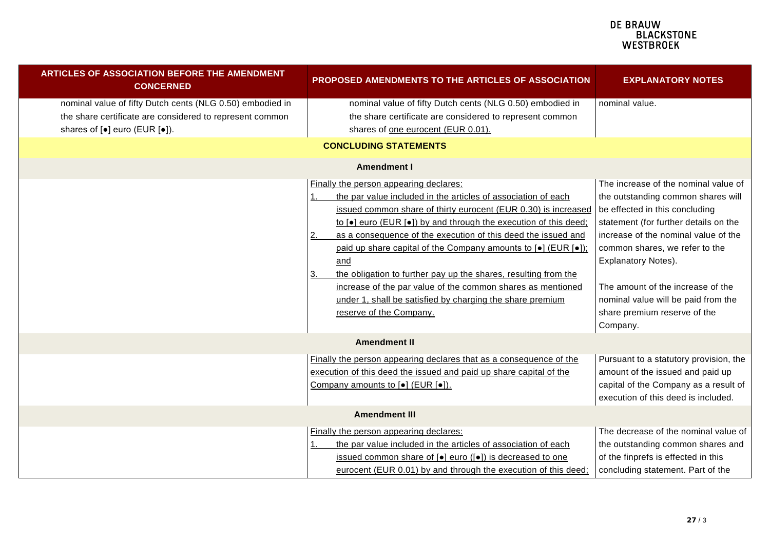| <b>ARTICLES OF ASSOCIATION BEFORE THE AMENDMENT</b><br><b>CONCERNED</b>                                               | <b>PROPOSED AMENDMENTS TO THE ARTICLES OF ASSOCIATION</b>                                                                                                                                                                                                                                                                                                                                                                                                                                                                                                                                                                                                | <b>EXPLANATORY NOTES</b>                                                                                                                                                                                                                                                                                                                                                       |  |  |  |  |
|-----------------------------------------------------------------------------------------------------------------------|----------------------------------------------------------------------------------------------------------------------------------------------------------------------------------------------------------------------------------------------------------------------------------------------------------------------------------------------------------------------------------------------------------------------------------------------------------------------------------------------------------------------------------------------------------------------------------------------------------------------------------------------------------|--------------------------------------------------------------------------------------------------------------------------------------------------------------------------------------------------------------------------------------------------------------------------------------------------------------------------------------------------------------------------------|--|--|--|--|
| nominal value of fifty Dutch cents (NLG 0.50) embodied in<br>the share certificate are considered to represent common | nominal value of fifty Dutch cents (NLG 0.50) embodied in<br>the share certificate are considered to represent common                                                                                                                                                                                                                                                                                                                                                                                                                                                                                                                                    | nominal value.                                                                                                                                                                                                                                                                                                                                                                 |  |  |  |  |
| shares of $\lceil \bullet \rceil$ euro (EUR $\lceil \bullet \rceil$ ).                                                | shares of one eurocent (EUR 0.01).                                                                                                                                                                                                                                                                                                                                                                                                                                                                                                                                                                                                                       |                                                                                                                                                                                                                                                                                                                                                                                |  |  |  |  |
| <b>CONCLUDING STATEMENTS</b>                                                                                          |                                                                                                                                                                                                                                                                                                                                                                                                                                                                                                                                                                                                                                                          |                                                                                                                                                                                                                                                                                                                                                                                |  |  |  |  |
|                                                                                                                       | <b>Amendment I</b>                                                                                                                                                                                                                                                                                                                                                                                                                                                                                                                                                                                                                                       |                                                                                                                                                                                                                                                                                                                                                                                |  |  |  |  |
|                                                                                                                       | Finally the person appearing declares:<br>the par value included in the articles of association of each<br>issued common share of thirty eurocent (EUR 0.30) is increased<br>to [.] euro (EUR [.]) by and through the execution of this deed;<br>as a consequence of the execution of this deed the issued and<br><u>2.</u><br>paid up share capital of the Company amounts to [ $\bullet$ ] (EUR [ $\bullet$ ]);<br>and<br>the obligation to further pay up the shares, resulting from the<br>3.<br>increase of the par value of the common shares as mentioned<br>under 1, shall be satisfied by charging the share premium<br>reserve of the Company. | The increase of the nominal value of<br>the outstanding common shares will<br>be effected in this concluding<br>statement (for further details on the<br>increase of the nominal value of the<br>common shares, we refer to the<br>Explanatory Notes).<br>The amount of the increase of the<br>nominal value will be paid from the<br>share premium reserve of the<br>Company. |  |  |  |  |
|                                                                                                                       | <b>Amendment II</b>                                                                                                                                                                                                                                                                                                                                                                                                                                                                                                                                                                                                                                      |                                                                                                                                                                                                                                                                                                                                                                                |  |  |  |  |
|                                                                                                                       | Finally the person appearing declares that as a consequence of the<br>execution of this deed the issued and paid up share capital of the<br>Company amounts to [ $\bullet$ ] (EUR [ $\bullet$ ]).                                                                                                                                                                                                                                                                                                                                                                                                                                                        | Pursuant to a statutory provision, the<br>amount of the issued and paid up<br>capital of the Company as a result of<br>execution of this deed is included.                                                                                                                                                                                                                     |  |  |  |  |
|                                                                                                                       | <b>Amendment III</b>                                                                                                                                                                                                                                                                                                                                                                                                                                                                                                                                                                                                                                     |                                                                                                                                                                                                                                                                                                                                                                                |  |  |  |  |
|                                                                                                                       | Finally the person appearing declares:<br>the par value included in the articles of association of each<br>issued common share of $\lceil \bullet \rceil$ euro ( $\lceil \bullet \rceil$ ) is decreased to one<br>eurocent (EUR 0.01) by and through the execution of this deed;                                                                                                                                                                                                                                                                                                                                                                         | The decrease of the nominal value of<br>the outstanding common shares and<br>of the finprefs is effected in this<br>concluding statement. Part of the                                                                                                                                                                                                                          |  |  |  |  |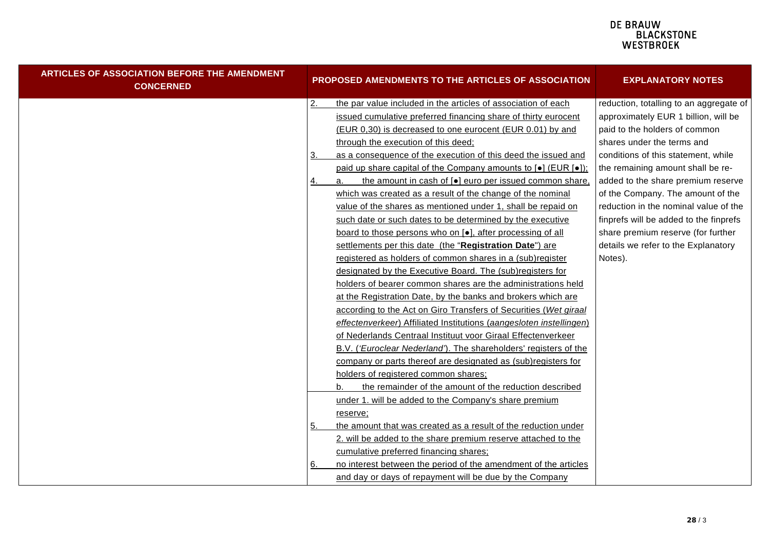| ARTICLES OF ASSOCIATION BEFORE THE AMENDMENT<br><b>CONCERNED</b> |           | PROPOSED AMENDMENTS TO THE ARTICLES OF ASSOCIATION                      | <b>EXPLANATORY NOTES</b>                |
|------------------------------------------------------------------|-----------|-------------------------------------------------------------------------|-----------------------------------------|
|                                                                  | <u>2.</u> | the par value included in the articles of association of each           | reduction, totalling to an aggregate of |
|                                                                  |           | issued cumulative preferred financing share of thirty eurocent          | approximately EUR 1 billion, will be    |
|                                                                  |           | (EUR 0,30) is decreased to one eurocent (EUR 0.01) by and               | paid to the holders of common           |
|                                                                  |           | through the execution of this deed;                                     | shares under the terms and              |
|                                                                  | З.        | as a consequence of the execution of this deed the issued and           | conditions of this statement, while     |
|                                                                  |           | paid up share capital of the Company amounts to [•] (EUR [•]);          | the remaining amount shall be re-       |
|                                                                  | 4.        | the amount in cash of [ $\bullet$ ] euro per issued common share,<br>a. | added to the share premium reserve      |
|                                                                  |           | which was created as a result of the change of the nominal              | of the Company. The amount of the       |
|                                                                  |           | value of the shares as mentioned under 1, shall be repaid on            | reduction in the nominal value of the   |
|                                                                  |           | such date or such dates to be determined by the executive               | finprefs will be added to the finprefs  |
|                                                                  |           | board to those persons who on [•], after processing of all              | share premium reserve (for further      |
|                                                                  |           | settlements per this date (the "Registration Date") are                 | details we refer to the Explanatory     |
|                                                                  |           | registered as holders of common shares in a (sub)register               | Notes).                                 |
|                                                                  |           | designated by the Executive Board. The (sub)registers for               |                                         |
|                                                                  |           | holders of bearer common shares are the administrations held            |                                         |
|                                                                  |           | at the Registration Date, by the banks and brokers which are            |                                         |
|                                                                  |           | according to the Act on Giro Transfers of Securities (Wet giraal        |                                         |
|                                                                  |           | effectenverkeer) Affiliated Institutions (aangesloten instellingen)     |                                         |
|                                                                  |           | of Nederlands Centraal Instituut voor Giraal Effectenverkeer            |                                         |
|                                                                  |           | B.V. ('Euroclear Nederland'). The shareholders' registers of the        |                                         |
|                                                                  |           | company or parts thereof are designated as (sub)registers for           |                                         |
|                                                                  |           | holders of registered common shares;                                    |                                         |
|                                                                  |           | the remainder of the amount of the reduction described                  |                                         |
|                                                                  |           | under 1. will be added to the Company's share premium                   |                                         |
|                                                                  |           | reserve;                                                                |                                         |
|                                                                  | 5.        | the amount that was created as a result of the reduction under          |                                         |
|                                                                  |           | 2. will be added to the share premium reserve attached to the           |                                         |
|                                                                  |           | cumulative preferred financing shares;                                  |                                         |
|                                                                  | 6.        | no interest between the period of the amendment of the articles         |                                         |
|                                                                  |           | and day or days of repayment will be due by the Company                 |                                         |